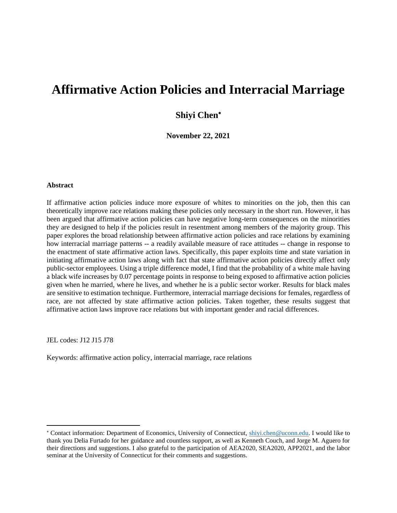# **Affirmative Action Policies and Interracial Marriage**

## **Shiyi Chen**

**November 22, 2021**

#### **Abstract**

If affirmative action policies induce more exposure of whites to minorities on the job, then this can theoretically improve race relations making these policies only necessary in the short run. However, it has been argued that affirmative action policies can have negative long-term consequences on the minorities they are designed to help if the policies result in resentment among members of the majority group. This paper explores the broad relationship between affirmative action policies and race relations by examining how interracial marriage patterns -- a readily available measure of race attitudes -- change in response to the enactment of state affirmative action laws. Specifically, this paper exploits time and state variation in initiating affirmative action laws along with fact that state affirmative action policies directly affect only public-sector employees. Using a triple difference model, I find that the probability of a white male having a black wife increases by 0.07 percentage points in response to being exposed to affirmative action policies given when he married, where he lives, and whether he is a public sector worker. Results for black males are sensitive to estimation technique. Furthermore, interracial marriage decisions for females, regardless of race, are not affected by state affirmative action policies. Taken together, these results suggest that affirmative action laws improve race relations but with important gender and racial differences.

JEL codes: J12 J15 J78

Keywords: affirmative action policy, interracial marriage, race relations

<sup>\*</sup> Contact information: Department of Economics, University of Connecticut, shivi.chen@uconn.edu. I would like to thank you Delia Furtado for her guidance and countless support, as well as Kenneth Couch, and Jorge M. Aguero for their directions and suggestions. I also grateful to the participation of AEA2020, SEA2020, APP2021, and the labor seminar at the University of Connecticut for their comments and suggestions.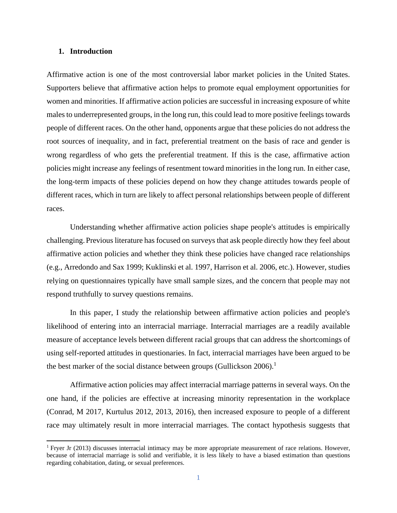#### **1. Introduction**

Affirmative action is one of the most controversial labor market policies in the United States. Supporters believe that affirmative action helps to promote equal employment opportunities for women and minorities. If affirmative action policies are successful in increasing exposure of white males to underrepresented groups, in the long run, this could lead to more positive feelings towards people of different races. On the other hand, opponents argue that these policies do not address the root sources of inequality, and in fact, preferential treatment on the basis of race and gender is wrong regardless of who gets the preferential treatment. If this is the case, affirmative action policies might increase any feelings of resentment toward minorities in the long run. In either case, the long-term impacts of these policies depend on how they change attitudes towards people of different races, which in turn are likely to affect personal relationships between people of different races.

Understanding whether affirmative action policies shape people's attitudes is empirically challenging. Previous literature has focused on surveys that ask people directly how they feel about affirmative action policies and whether they think these policies have changed race relationships (e.g., Arredondo and Sax 1999; Kuklinski et al. 1997, Harrison et al. 2006, etc.). However, studies relying on questionnaires typically have small sample sizes, and the concern that people may not respond truthfully to survey questions remains.

In this paper, I study the relationship between affirmative action policies and people's likelihood of entering into an interracial marriage. Interracial marriages are a readily available measure of acceptance levels between different racial groups that can address the shortcomings of using self-reported attitudes in questionaries. In fact, interracial marriages have been argued to be the best marker of the social distance between groups (Gullickson 2006).<sup>1</sup>

Affirmative action policies may affect interracial marriage patterns in several ways. On the one hand, if the policies are effective at increasing minority representation in the workplace (Conrad, M 2017, Kurtulus 2012, 2013, 2016), then increased exposure to people of a different race may ultimately result in more interracial marriages. The contact hypothesis suggests that

<sup>1</sup> Fryer Jr (2013) discusses interracial intimacy may be more appropriate measurement of race relations. However, because of interracial marriage is solid and verifiable, it is less likely to have a biased estimation than questions regarding cohabitation, dating, or sexual preferences.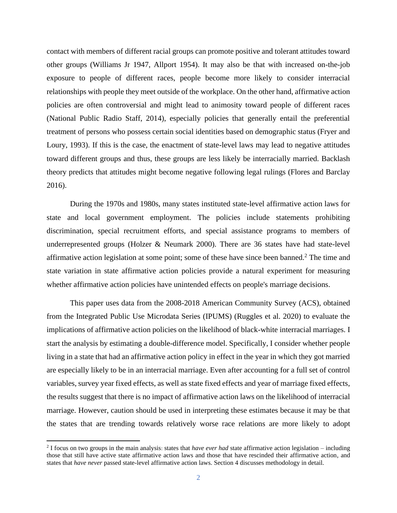contact with members of different racial groups can promote positive and tolerant attitudes toward other groups (Williams Jr 1947, Allport 1954). It may also be that with increased on-the-job exposure to people of different races, people become more likely to consider interracial relationships with people they meet outside of the workplace. On the other hand, affirmative action policies are often controversial and might lead to animosity toward people of different races (National Public Radio Staff, 2014), especially policies that generally entail the preferential treatment of persons who possess certain social identities based on demographic status (Fryer and Loury, 1993). If this is the case, the enactment of state-level laws may lead to negative attitudes toward different groups and thus, these groups are less likely be interracially married. Backlash theory predicts that attitudes might become negative following legal rulings (Flores and Barclay 2016).

During the 1970s and 1980s, many states instituted state-level affirmative action laws for state and local government employment. The policies include statements prohibiting discrimination, special recruitment efforts, and special assistance programs to members of underrepresented groups (Holzer & Neumark 2000). There are 36 states have had state-level affirmative action legislation at some point; some of these have since been banned.<sup>2</sup> The time and state variation in state affirmative action policies provide a natural experiment for measuring whether affirmative action policies have unintended effects on people's marriage decisions.

This paper uses data from the 2008-2018 American Community Survey (ACS), obtained from the Integrated Public Use Microdata Series (IPUMS) (Ruggles et al. 2020) to evaluate the implications of affirmative action policies on the likelihood of black-white interracial marriages. I start the analysis by estimating a double-difference model. Specifically, I consider whether people living in a state that had an affirmative action policy in effect in the year in which they got married are especially likely to be in an interracial marriage. Even after accounting for a full set of control variables, survey year fixed effects, as well as state fixed effects and year of marriage fixed effects, the results suggest that there is no impact of affirmative action laws on the likelihood of interracial marriage. However, caution should be used in interpreting these estimates because it may be that the states that are trending towards relatively worse race relations are more likely to adopt

<sup>2</sup> I focus on two groups in the main analysis: states that *have ever had* state affirmative action legislation – including those that still have active state affirmative action laws and those that have rescinded their affirmative action, and states that *have never* passed state-level affirmative action laws. Section 4 discusses methodology in detail.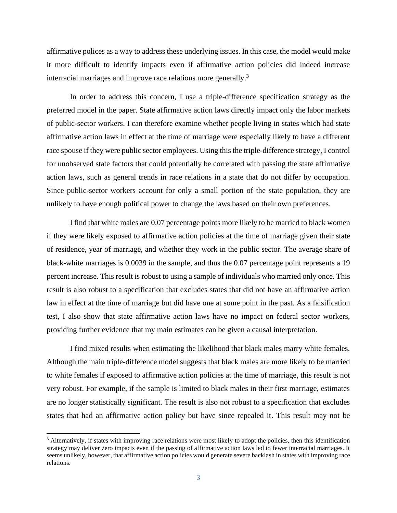affirmative polices as a way to address these underlying issues. In this case, the model would make it more difficult to identify impacts even if affirmative action policies did indeed increase interracial marriages and improve race relations more generally.<sup>3</sup>

In order to address this concern, I use a triple-difference specification strategy as the preferred model in the paper. State affirmative action laws directly impact only the labor markets of public-sector workers. I can therefore examine whether people living in states which had state affirmative action laws in effect at the time of marriage were especially likely to have a different race spouse if they were public sector employees. Using this the triple-difference strategy, I control for unobserved state factors that could potentially be correlated with passing the state affirmative action laws, such as general trends in race relations in a state that do not differ by occupation. Since public-sector workers account for only a small portion of the state population, they are unlikely to have enough political power to change the laws based on their own preferences.

I find that white males are 0.07 percentage points more likely to be married to black women if they were likely exposed to affirmative action policies at the time of marriage given their state of residence, year of marriage, and whether they work in the public sector. The average share of black-white marriages is 0.0039 in the sample, and thus the 0.07 percentage point represents a 19 percent increase. This result is robust to using a sample of individuals who married only once. This result is also robust to a specification that excludes states that did not have an affirmative action law in effect at the time of marriage but did have one at some point in the past. As a falsification test, I also show that state affirmative action laws have no impact on federal sector workers, providing further evidence that my main estimates can be given a causal interpretation.

I find mixed results when estimating the likelihood that black males marry white females. Although the main triple-difference model suggests that black males are more likely to be married to white females if exposed to affirmative action policies at the time of marriage, this result is not very robust. For example, if the sample is limited to black males in their first marriage, estimates are no longer statistically significant. The result is also not robust to a specification that excludes states that had an affirmative action policy but have since repealed it. This result may not be

<sup>&</sup>lt;sup>3</sup> Alternatively, if states with improving race relations were most likely to adopt the policies, then this identification strategy may deliver zero impacts even if the passing of affirmative action laws led to fewer interracial marriages. It seems unlikely, however, that affirmative action policies would generate severe backlash in states with improving race relations.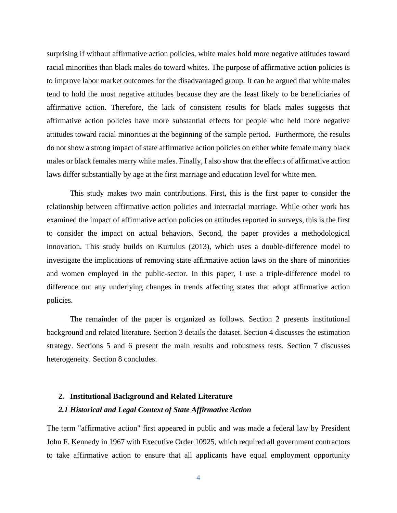surprising if without affirmative action policies, white males hold more negative attitudes toward racial minorities than black males do toward whites. The purpose of affirmative action policies is to improve labor market outcomes for the disadvantaged group. It can be argued that white males tend to hold the most negative attitudes because they are the least likely to be beneficiaries of affirmative action. Therefore, the lack of consistent results for black males suggests that affirmative action policies have more substantial effects for people who held more negative attitudes toward racial minorities at the beginning of the sample period. Furthermore, the results do not show a strong impact of state affirmative action policies on either white female marry black males or black females marry white males. Finally, I also show that the effects of affirmative action laws differ substantially by age at the first marriage and education level for white men.

This study makes two main contributions. First, this is the first paper to consider the relationship between affirmative action policies and interracial marriage. While other work has examined the impact of affirmative action policies on attitudes reported in surveys, this is the first to consider the impact on actual behaviors. Second, the paper provides a methodological innovation. This study builds on Kurtulus (2013), which uses a double-difference model to investigate the implications of removing state affirmative action laws on the share of minorities and women employed in the public-sector. In this paper, I use a triple-difference model to difference out any underlying changes in trends affecting states that adopt affirmative action policies.

The remainder of the paper is organized as follows. Section 2 presents institutional background and related literature. Section 3 details the dataset. Section 4 discusses the estimation strategy. Sections 5 and 6 present the main results and robustness tests. Section 7 discusses heterogeneity. Section 8 concludes.

#### **2. Institutional Background and Related Literature**

#### *2.1 Historical and Legal Context of State Affirmative Action*

The term "affirmative action" first appeared in public and was made a federal law by President John F. Kennedy in 1967 with Executive Order 10925, which required all government contractors to take affirmative action to ensure that all applicants have equal employment opportunity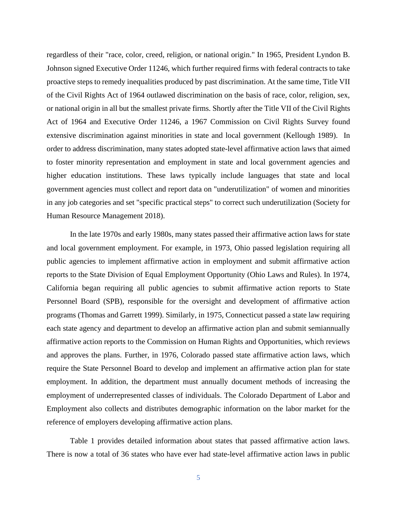regardless of their "race, color, creed, religion, or national origin." In 1965, President Lyndon B. Johnson signed Executive Order 11246, which further required firms with federal contracts to take proactive steps to remedy inequalities produced by past discrimination. At the same time, Title VII of the Civil Rights Act of 1964 outlawed discrimination on the basis of race, color, religion, sex, or national origin in all but the smallest private firms. Shortly after the Title VII of the Civil Rights Act of 1964 and Executive Order 11246, a 1967 Commission on Civil Rights Survey found extensive discrimination against minorities in state and local government (Kellough 1989). In order to address discrimination, many states adopted state-level affirmative action laws that aimed to foster minority representation and employment in state and local government agencies and higher education institutions. These laws typically include languages that state and local government agencies must collect and report data on "underutilization" of women and minorities in any job categories and set "specific practical steps" to correct such underutilization (Society for Human Resource Management 2018).

In the late 1970s and early 1980s, many states passed their affirmative action laws for state and local government employment. For example, in 1973, Ohio passed legislation requiring all public agencies to implement affirmative action in employment and submit affirmative action reports to the State Division of Equal Employment Opportunity (Ohio Laws and Rules). In 1974, California began requiring all public agencies to submit affirmative action reports to State Personnel Board (SPB), responsible for the oversight and development of affirmative action programs (Thomas and Garrett 1999). Similarly, in 1975, Connecticut passed a state law requiring each state agency and department to develop an affirmative action plan and submit semiannually affirmative action reports to the Commission on Human Rights and Opportunities, which reviews and approves the plans. Further, in 1976, Colorado passed state affirmative action laws, which require the State Personnel Board to develop and implement an affirmative action plan for state employment. In addition, the department must annually document methods of increasing the employment of underrepresented classes of individuals. The Colorado Department of Labor and Employment also collects and distributes demographic information on the labor market for the reference of employers developing affirmative action plans.

Table 1 provides detailed information about states that passed affirmative action laws. There is now a total of 36 states who have ever had state-level affirmative action laws in public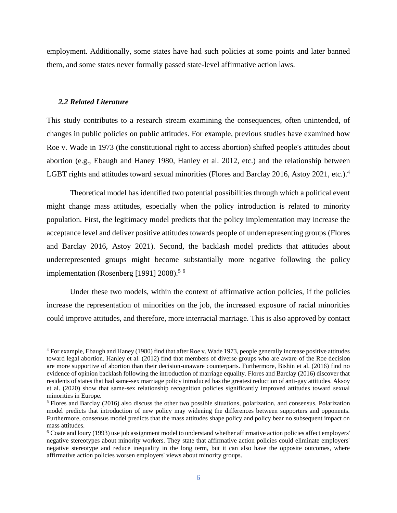employment. Additionally, some states have had such policies at some points and later banned them, and some states never formally passed state-level affirmative action laws.

#### *2.2 Related Literature*

This study contributes to a research stream examining the consequences, often unintended, of changes in public policies on public attitudes. For example, previous studies have examined how Roe v. Wade in 1973 (the constitutional right to access abortion) shifted people's attitudes about abortion (e.g., Ebaugh and Haney 1980, Hanley et al. 2012, etc.) and the relationship between LGBT rights and attitudes toward sexual minorities (Flores and Barclay 2016, Astoy 2021, etc.).<sup>4</sup>

Theoretical model has identified two potential possibilities through which a political event might change mass attitudes, especially when the policy introduction is related to minority population. First, the legitimacy model predicts that the policy implementation may increase the acceptance level and deliver positive attitudes towards people of underrepresenting groups (Flores and Barclay 2016, Astoy 2021). Second, the backlash model predicts that attitudes about underrepresented groups might become substantially more negative following the policy implementation (Rosenberg [1991] 2008).<sup>5 6</sup>

Under these two models, within the context of affirmative action policies, if the policies increase the representation of minorities on the job, the increased exposure of racial minorities could improve attitudes, and therefore, more interracial marriage. This is also approved by contact

<sup>4</sup> For example, Ebaugh and Haney (1980) find that after Roe v. Wade 1973, people generally increase positive attitudes toward legal abortion. Hanley et al. (2012) find that members of diverse groups who are aware of the Roe decision are more supportive of abortion than their decision-unaware counterparts. Furthermore, Bishin et al. (2016) find no evidence of opinion backlash following the introduction of marriage equality. Flores and Barclay (2016) discover that residents of states that had same-sex marriage policy introduced has the greatest reduction of anti-gay attitudes. Aksoy et al. (2020) show that same-sex relationship recognition policies significantly improved attitudes toward sexual minorities in Europe.

<sup>5</sup> Flores and Barclay (2016) also discuss the other two possible situations, polarization, and consensus. Polarization model predicts that introduction of new policy may widening the differences between supporters and opponents. Furthermore, consensus model predicts that the mass attitudes shape policy and policy bear no subsequent impact on mass attitudes.

<sup>6</sup> Coate and loury (1993) use job assignment model to understand whether affirmative action policies affect employers' negative stereotypes about minority workers. They state that affirmative action policies could eliminate employers' negative stereotype and reduce inequality in the long term, but it can also have the opposite outcomes, where affirmative action policies worsen employers' views about minority groups.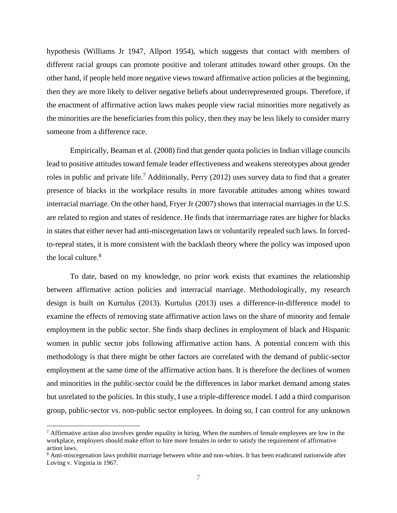hypothesis (Williams Jr 1947, Allport 1954), which suggests that contact with members of different racial groups can promote positive and tolerant attitudes toward other groups. On the other hand, if people held more negative views toward affirmative action policies at the beginning, then they are more likely to deliver negative beliefs about underrepresented groups. Therefore, if the enactment of affirmative action laws makes people view racial minorities more negatively as the minorities are the beneficiaries from this policy, then they may be less likely to consider marry someone from a difference race.

Empirically, Beaman et al. (2008) find that gender quota policies in Indian village councils lead to positive attitudes toward female leader effectiveness and weakens stereotypes about gender roles in public and private life.<sup>7</sup> Additionally, Perry (2012) uses survey data to find that a greater presence of blacks in the workplace results in more favorable attitudes among whites toward interracial marriage. On the other hand, Fryer Jr (2007) shows that interracial marriages in the U.S. are related to region and states of residence. He finds that intermarriage rates are higher for blacks in states that either never had anti-miscegenation laws or voluntarily repealed such laws. In forcedto-repeal states, it is more consistent with the backlash theory where the policy was imposed upon the local culture.<sup>8</sup>

To date, based on my knowledge, no prior work exists that examines the relationship between affirmative action policies and interracial marriage. Methodologically, my research design is built on Kurtulus (2013). Kurtulus (2013) uses a difference-in-difference model to examine the effects of removing state affirmative action laws on the share of minority and female employment in the public sector. She finds sharp declines in employment of black and Hispanic women in public sector jobs following affirmative action bans. A potential concern with this methodology is that there might be other factors are correlated with the demand of public-sector employment at the same time of the affirmative action bans. It is therefore the declines of women and minorities in the public-sector could be the differences in labor market demand among states but unrelated to the policies. In this study, I use a triple-difference model. I add a third comparison group, public-sector vs. non-public sector employees. In doing so, I can control for any unknown

 $<sup>7</sup>$  Affirmative action also involves gender equality in hiring. When the numbers of female employees are low in the</sup> workplace, employers should make effort to hire more females in order to satisfy the requirement of affirmative action laws.

<sup>&</sup>lt;sup>8</sup> Anti-miscegenation laws prohibit marriage between white and non-whites. It has been eradicated nationwide after Loving v. Virginia in 1967.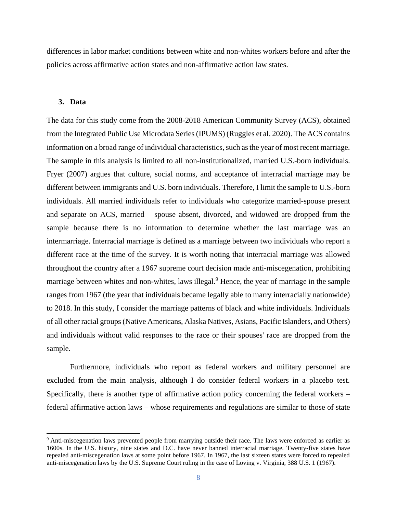differences in labor market conditions between white and non-whites workers before and after the policies across affirmative action states and non-affirmative action law states.

## **3. Data**

The data for this study come from the 2008-2018 American Community Survey (ACS), obtained from the Integrated Public Use Microdata Series (IPUMS) (Ruggles et al. 2020). The ACS contains information on a broad range of individual characteristics, such as the year of most recent marriage. The sample in this analysis is limited to all non-institutionalized, married U.S.-born individuals. Fryer (2007) argues that culture, social norms, and acceptance of interracial marriage may be different between immigrants and U.S. born individuals. Therefore, I limit the sample to U.S.-born individuals. All married individuals refer to individuals who categorize married-spouse present and separate on ACS, married – spouse absent, divorced, and widowed are dropped from the sample because there is no information to determine whether the last marriage was an intermarriage. Interracial marriage is defined as a marriage between two individuals who report a different race at the time of the survey. It is worth noting that interracial marriage was allowed throughout the country after a 1967 supreme court decision made anti-miscegenation, prohibiting marriage between whites and non-whites, laws illegal.<sup>9</sup> Hence, the year of marriage in the sample ranges from 1967 (the year that individuals became legally able to marry interracially nationwide) to 2018. In this study, I consider the marriage patterns of black and white individuals. Individuals of all other racial groups (Native Americans, Alaska Natives, Asians, Pacific Islanders, and Others) and individuals without valid responses to the race or their spouses' race are dropped from the sample.

Furthermore, individuals who report as federal workers and military personnel are excluded from the main analysis, although I do consider federal workers in a placebo test. Specifically, there is another type of affirmative action policy concerning the federal workers – federal affirmative action laws – whose requirements and regulations are similar to those of state

<sup>&</sup>lt;sup>9</sup> Anti-miscegenation laws prevented people from marrying outside their race. The laws were enforced as earlier as 1600s. In the U.S. history, nine states and D.C. have never banned interracial marriage. Twenty-five states have repealed anti-miscegenation laws at some point before 1967. In 1967, the last sixteen states were forced to repealed anti-miscegenation laws by the U.S. Supreme Court ruling in the case of Loving v. Virginia, 388 U.S. 1 (1967).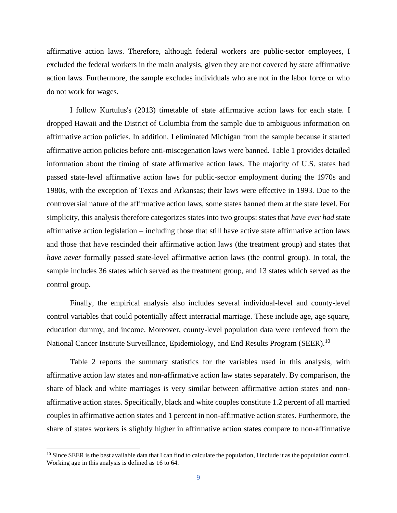affirmative action laws. Therefore, although federal workers are public-sector employees, I excluded the federal workers in the main analysis, given they are not covered by state affirmative action laws. Furthermore, the sample excludes individuals who are not in the labor force or who do not work for wages.

I follow Kurtulus's (2013) timetable of state affirmative action laws for each state. I dropped Hawaii and the District of Columbia from the sample due to ambiguous information on affirmative action policies. In addition, I eliminated Michigan from the sample because it started affirmative action policies before anti-miscegenation laws were banned. Table 1 provides detailed information about the timing of state affirmative action laws. The majority of U.S. states had passed state-level affirmative action laws for public-sector employment during the 1970s and 1980s, with the exception of Texas and Arkansas; their laws were effective in 1993. Due to the controversial nature of the affirmative action laws, some states banned them at the state level. For simplicity, this analysis therefore categorizes states into two groups: states that *have ever had* state affirmative action legislation – including those that still have active state affirmative action laws and those that have rescinded their affirmative action laws (the treatment group) and states that *have never* formally passed state-level affirmative action laws (the control group). In total, the sample includes 36 states which served as the treatment group, and 13 states which served as the control group.

Finally, the empirical analysis also includes several individual-level and county-level control variables that could potentially affect interracial marriage. These include age, age square, education dummy, and income. Moreover, county-level population data were retrieved from the National Cancer Institute Surveillance, Epidemiology, and End Results Program (SEER).<sup>10</sup>

Table 2 reports the summary statistics for the variables used in this analysis, with affirmative action law states and non-affirmative action law states separately. By comparison, the share of black and white marriages is very similar between affirmative action states and nonaffirmative action states. Specifically, black and white couples constitute 1.2 percent of all married couples in affirmative action states and 1 percent in non-affirmative action states. Furthermore, the share of states workers is slightly higher in affirmative action states compare to non-affirmative

 $10$  Since SEER is the best available data that I can find to calculate the population, I include it as the population control. Working age in this analysis is defined as 16 to 64.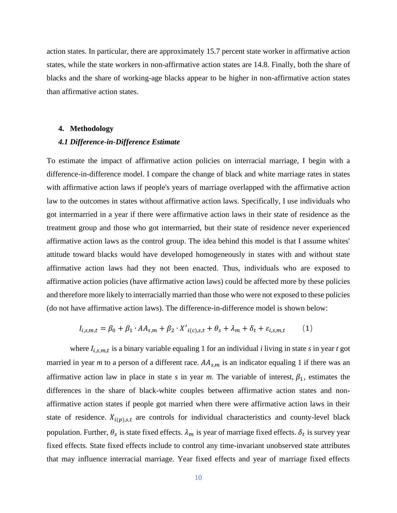action states. In particular, there are approximately 15.7 percent state worker in affirmative action states, while the state workers in non-affirmative action states are 14.8. Finally, both the share of blacks and the share of working-age blacks appear to be higher in non-affirmative action states than affirmative action states.

#### **4. Methodology**

#### *4.1 Difference-in-Difference Estimate*

To estimate the impact of affirmative action policies on interracial marriage, I begin with a difference-in-difference model. I compare the change of black and white marriage rates in states with affirmative action laws if people's years of marriage overlapped with the affirmative action law to the outcomes in states without affirmative action laws. Specifically, I use individuals who got intermarried in a year if there were affirmative action laws in their state of residence as the treatment group and those who got intermarried, but their state of residence never experienced affirmative action laws as the control group. The idea behind this model is that I assume whites' attitude toward blacks would have developed homogeneously in states with and without state affirmative action laws had they not been enacted. Thus, individuals who are exposed to affirmative action policies (have affirmative action laws) could be affected more by these policies and therefore more likely to interracially married than those who were not exposed to these policies (do not have affirmative action laws). The difference-in-difference model is shown below:

$$
I_{i,s,m,t} = \beta_0 + \beta_1 \cdot AA_{s,m} + \beta_2 \cdot X'_{i(c),s,t} + \theta_s + \lambda_m + \delta_t + \varepsilon_{i,s,m,t}
$$
 (1)

where  $I_{i,s,m,t}$  is a binary variable equaling 1 for an individual *i* living in state *s* in year *t* got married in year *m* to a person of a different race.  $AA_{s,m}$  is an indicator equaling 1 if there was an affirmative action law in place in state *s* in year *m*. The variable of interest,  $\beta_1$ , estimates the differences in the share of black-white couples between affirmative action states and nonaffirmative action states if people got married when there were affirmative action laws in their state of residence.  $X_{i(p), s, t}$  are controls for individual characteristics and county-level black population. Further,  $\theta_s$  is state fixed effects.  $\lambda_m$  is year of marriage fixed effects.  $\delta_t$  is survey year fixed effects. State fixed effects include to control any time-invariant unobserved state attributes that may influence interracial marriage. Year fixed effects and year of marriage fixed effects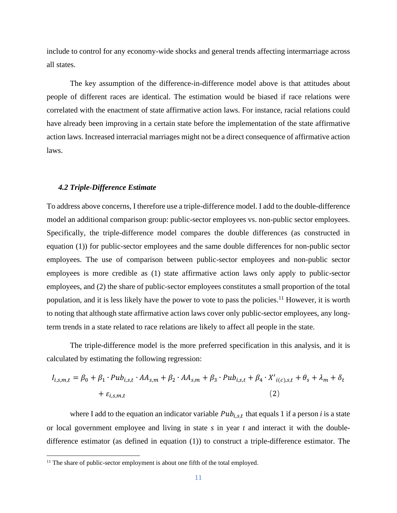include to control for any economy-wide shocks and general trends affecting intermarriage across all states.

The key assumption of the difference-in-difference model above is that attitudes about people of different races are identical. The estimation would be biased if race relations were correlated with the enactment of state affirmative action laws. For instance, racial relations could have already been improving in a certain state before the implementation of the state affirmative action laws. Increased interracial marriages might not be a direct consequence of affirmative action laws.

#### *4.2 Triple-Difference Estimate*

To address above concerns, I therefore use a triple-difference model. I add to the double-difference model an additional comparison group: public-sector employees vs. non-public sector employees. Specifically, the triple-difference model compares the double differences (as constructed in equation (1)) for public-sector employees and the same double differences for non-public sector employees. The use of comparison between public-sector employees and non-public sector employees is more credible as (1) state affirmative action laws only apply to public-sector employees, and (2) the share of public-sector employees constitutes a small proportion of the total population, and it is less likely have the power to vote to pass the policies.<sup>11</sup> However, it is worth to noting that although state affirmative action laws cover only public-sector employees, any longterm trends in a state related to race relations are likely to affect all people in the state.

The triple-difference model is the more preferred specification in this analysis, and it is calculated by estimating the following regression:

$$
I_{i,s,m,t} = \beta_0 + \beta_1 \cdot \text{Pub}_{i,s,t} \cdot \text{AA}_{s,m} + \beta_2 \cdot \text{AA}_{s,m} + \beta_3 \cdot \text{Pub}_{i,s,t} + \beta_4 \cdot X'_{i(c),s,t} + \theta_s + \lambda_m + \delta_t
$$
  
+  $\varepsilon_{i,s,m,t}$  (2)

where I add to the equation an indicator variable  $Pub_{i,s,t}$  that equals 1 if a person *i* is a state or local government employee and living in state *s* in year *t* and interact it with the doubledifference estimator (as defined in equation (1)) to construct a triple-difference estimator. The

<sup>&</sup>lt;sup>11</sup> The share of public-sector employment is about one fifth of the total employed.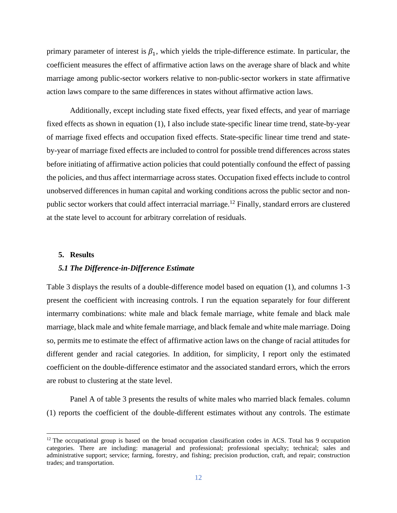primary parameter of interest is  $\beta_1$ , which yields the triple-difference estimate. In particular, the coefficient measures the effect of affirmative action laws on the average share of black and white marriage among public-sector workers relative to non-public-sector workers in state affirmative action laws compare to the same differences in states without affirmative action laws.

Additionally, except including state fixed effects, year fixed effects, and year of marriage fixed effects as shown in equation (1), I also include state-specific linear time trend, state-by-year of marriage fixed effects and occupation fixed effects. State-specific linear time trend and stateby-year of marriage fixed effects are included to control for possible trend differences across states before initiating of affirmative action policies that could potentially confound the effect of passing the policies, and thus affect intermarriage across states. Occupation fixed effects include to control unobserved differences in human capital and working conditions across the public sector and nonpublic sector workers that could affect interracial marriage.<sup>12</sup> Finally, standard errors are clustered at the state level to account for arbitrary correlation of residuals.

#### **5. Results**

#### *5.1 The Difference-in-Difference Estimate*

Table 3 displays the results of a double-difference model based on equation (1), and columns 1-3 present the coefficient with increasing controls. I run the equation separately for four different intermarry combinations: white male and black female marriage, white female and black male marriage, black male and white female marriage, and black female and white male marriage. Doing so, permits me to estimate the effect of affirmative action laws on the change of racial attitudes for different gender and racial categories. In addition, for simplicity, I report only the estimated coefficient on the double-difference estimator and the associated standard errors, which the errors are robust to clustering at the state level.

Panel A of table 3 presents the results of white males who married black females. column (1) reports the coefficient of the double-different estimates without any controls. The estimate

 $12$  The occupational group is based on the broad occupation classification codes in ACS. Total has 9 occupation categories. There are including: managerial and professional; professional specialty; technical; sales and administrative support; service; farming, forestry, and fishing; precision production, craft, and repair; construction trades; and transportation.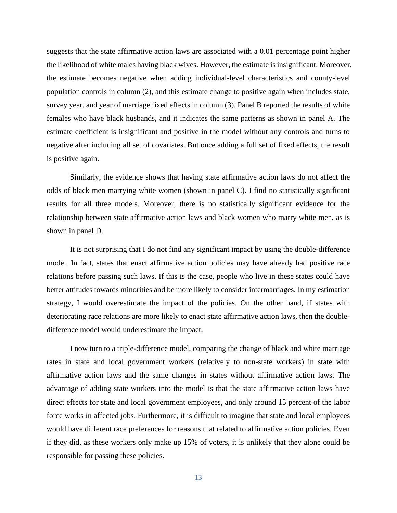suggests that the state affirmative action laws are associated with a 0.01 percentage point higher the likelihood of white males having black wives. However, the estimate is insignificant. Moreover, the estimate becomes negative when adding individual-level characteristics and county-level population controls in column (2), and this estimate change to positive again when includes state, survey year, and year of marriage fixed effects in column (3). Panel B reported the results of white females who have black husbands, and it indicates the same patterns as shown in panel A. The estimate coefficient is insignificant and positive in the model without any controls and turns to negative after including all set of covariates. But once adding a full set of fixed effects, the result is positive again.

Similarly, the evidence shows that having state affirmative action laws do not affect the odds of black men marrying white women (shown in panel C). I find no statistically significant results for all three models. Moreover, there is no statistically significant evidence for the relationship between state affirmative action laws and black women who marry white men, as is shown in panel D.

It is not surprising that I do not find any significant impact by using the double-difference model. In fact, states that enact affirmative action policies may have already had positive race relations before passing such laws. If this is the case, people who live in these states could have better attitudes towards minorities and be more likely to consider intermarriages. In my estimation strategy, I would overestimate the impact of the policies. On the other hand, if states with deteriorating race relations are more likely to enact state affirmative action laws, then the doubledifference model would underestimate the impact.

I now turn to a triple-difference model, comparing the change of black and white marriage rates in state and local government workers (relatively to non-state workers) in state with affirmative action laws and the same changes in states without affirmative action laws. The advantage of adding state workers into the model is that the state affirmative action laws have direct effects for state and local government employees, and only around 15 percent of the labor force works in affected jobs. Furthermore, it is difficult to imagine that state and local employees would have different race preferences for reasons that related to affirmative action policies. Even if they did, as these workers only make up 15% of voters, it is unlikely that they alone could be responsible for passing these policies.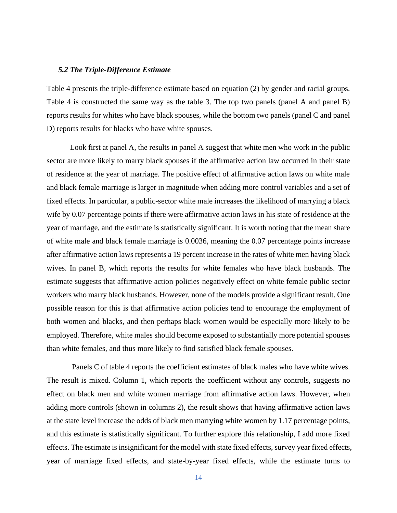#### *5.2 The Triple-Difference Estimate*

Table 4 presents the triple-difference estimate based on equation (2) by gender and racial groups. Table 4 is constructed the same way as the table 3. The top two panels (panel A and panel B) reports results for whites who have black spouses, while the bottom two panels (panel C and panel D) reports results for blacks who have white spouses.

Look first at panel A, the results in panel A suggest that white men who work in the public sector are more likely to marry black spouses if the affirmative action law occurred in their state of residence at the year of marriage. The positive effect of affirmative action laws on white male and black female marriage is larger in magnitude when adding more control variables and a set of fixed effects. In particular, a public-sector white male increases the likelihood of marrying a black wife by 0.07 percentage points if there were affirmative action laws in his state of residence at the year of marriage, and the estimate is statistically significant. It is worth noting that the mean share of white male and black female marriage is 0.0036, meaning the 0.07 percentage points increase after affirmative action laws represents a 19 percent increase in the rates of white men having black wives. In panel B, which reports the results for white females who have black husbands. The estimate suggests that affirmative action policies negatively effect on white female public sector workers who marry black husbands. However, none of the models provide a significant result. One possible reason for this is that affirmative action policies tend to encourage the employment of both women and blacks, and then perhaps black women would be especially more likely to be employed. Therefore, white males should become exposed to substantially more potential spouses than white females, and thus more likely to find satisfied black female spouses.

Panels C of table 4 reports the coefficient estimates of black males who have white wives. The result is mixed. Column 1, which reports the coefficient without any controls, suggests no effect on black men and white women marriage from affirmative action laws. However, when adding more controls (shown in columns 2), the result shows that having affirmative action laws at the state level increase the odds of black men marrying white women by 1.17 percentage points, and this estimate is statistically significant. To further explore this relationship, I add more fixed effects. The estimate is insignificant for the model with state fixed effects, survey year fixed effects, year of marriage fixed effects, and state-by-year fixed effects, while the estimate turns to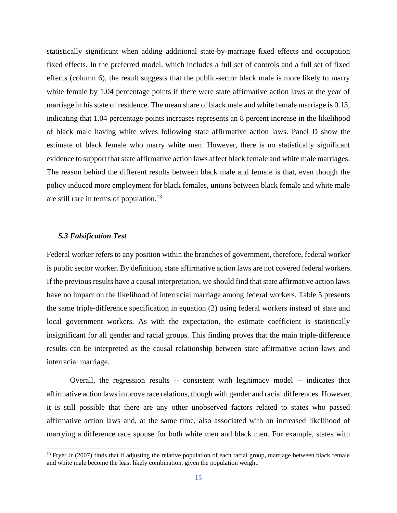statistically significant when adding additional state-by-marriage fixed effects and occupation fixed effects. In the preferred model, which includes a full set of controls and a full set of fixed effects (column 6), the result suggests that the public-sector black male is more likely to marry white female by 1.04 percentage points if there were state affirmative action laws at the year of marriage in his state of residence. The mean share of black male and white female marriage is 0.13, indicating that 1.04 percentage points increases represents an 8 percent increase in the likelihood of black male having white wives following state affirmative action laws. Panel D show the estimate of black female who marry white men. However, there is no statistically significant evidence to support that state affirmative action laws affect black female and white male marriages. The reason behind the different results between black male and female is that, even though the policy induced more employment for black females, unions between black female and white male are still rare in terms of population.<sup>13</sup>

#### *5.3 Falsification Test*

Federal worker refers to any position within the branches of government, therefore, federal worker is public sector worker. By definition, state affirmative action laws are not covered federal workers. If the previous results have a causal interpretation, we should find that state affirmative action laws have no impact on the likelihood of interracial marriage among federal workers. Table 5 presents the same triple-difference specification in equation (2) using federal workers instead of state and local government workers. As with the expectation, the estimate coefficient is statistically insignificant for all gender and racial groups. This finding proves that the main triple-difference results can be interpreted as the causal relationship between state affirmative action laws and interracial marriage.

Overall, the regression results -- consistent with legitimacy model -- indicates that affirmative action laws improve race relations, though with gender and racial differences. However, it is still possible that there are any other unobserved factors related to states who passed affirmative action laws and, at the same time, also associated with an increased likelihood of marrying a difference race spouse for both white men and black men. For example, states with

 $13$  Fryer Jr (2007) finds that if adjusting the relative population of each racial group, marriage between black female and white male become the least likely combination, given the population weight.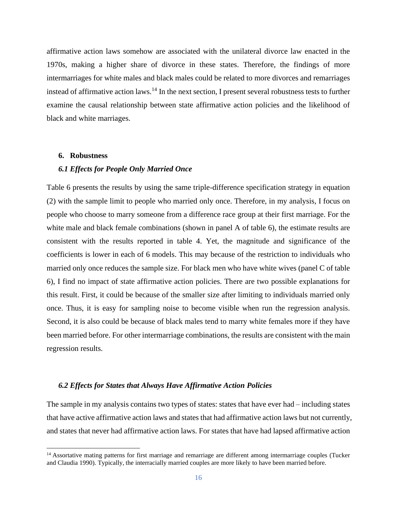affirmative action laws somehow are associated with the unilateral divorce law enacted in the 1970s, making a higher share of divorce in these states. Therefore, the findings of more intermarriages for white males and black males could be related to more divorces and remarriages instead of affirmative action laws.<sup>14</sup> In the next section, I present several robustness tests to further examine the causal relationship between state affirmative action policies and the likelihood of black and white marriages.

#### **6. Robustness**

#### *6.1 Effects for People Only Married Once*

Table 6 presents the results by using the same triple-difference specification strategy in equation (2) with the sample limit to people who married only once. Therefore, in my analysis, I focus on people who choose to marry someone from a difference race group at their first marriage. For the white male and black female combinations (shown in panel A of table 6), the estimate results are consistent with the results reported in table 4. Yet, the magnitude and significance of the coefficients is lower in each of 6 models. This may because of the restriction to individuals who married only once reduces the sample size. For black men who have white wives (panel C of table 6), I find no impact of state affirmative action policies. There are two possible explanations for this result. First, it could be because of the smaller size after limiting to individuals married only once. Thus, it is easy for sampling noise to become visible when run the regression analysis. Second, it is also could be because of black males tend to marry white females more if they have been married before. For other intermarriage combinations, the results are consistent with the main regression results.

## *6.2 Effects for States that Always Have Affirmative Action Policies*

The sample in my analysis contains two types of states: states that have ever had – including states that have active affirmative action laws and states that had affirmative action laws but not currently, and states that never had affirmative action laws. For states that have had lapsed affirmative action

<sup>&</sup>lt;sup>14</sup> Assortative mating patterns for first marriage and remarriage are different among intermarriage couples (Tucker and Claudia 1990). Typically, the interracially married couples are more likely to have been married before.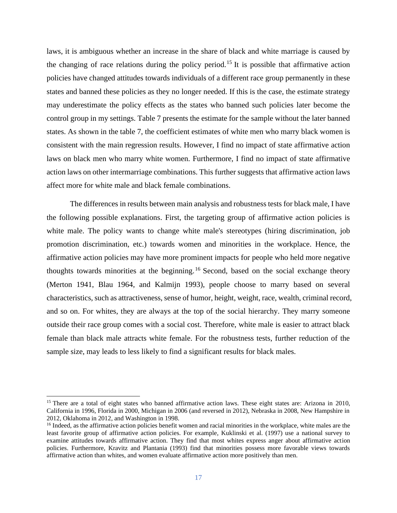laws, it is ambiguous whether an increase in the share of black and white marriage is caused by the changing of race relations during the policy period.<sup>15</sup> It is possible that affirmative action policies have changed attitudes towards individuals of a different race group permanently in these states and banned these policies as they no longer needed. If this is the case, the estimate strategy may underestimate the policy effects as the states who banned such policies later become the control group in my settings. Table 7 presents the estimate for the sample without the later banned states. As shown in the table 7, the coefficient estimates of white men who marry black women is consistent with the main regression results. However, I find no impact of state affirmative action laws on black men who marry white women. Furthermore, I find no impact of state affirmative action laws on other intermarriage combinations. This further suggests that affirmative action laws affect more for white male and black female combinations.

The differences in results between main analysis and robustness tests for black male, I have the following possible explanations. First, the targeting group of affirmative action policies is white male. The policy wants to change white male's stereotypes (hiring discrimination, job promotion discrimination, etc.) towards women and minorities in the workplace. Hence, the affirmative action policies may have more prominent impacts for people who held more negative thoughts towards minorities at the beginning.<sup>16</sup> Second, based on the social exchange theory (Merton 1941, Blau 1964, and Kalmijn 1993), people choose to marry based on several characteristics, such as attractiveness, sense of humor, height, weight, race, wealth, criminal record, and so on. For whites, they are always at the top of the social hierarchy. They marry someone outside their race group comes with a social cost. Therefore, white male is easier to attract black female than black male attracts white female. For the robustness tests, further reduction of the sample size, may leads to less likely to find a significant results for black males.

<sup>&</sup>lt;sup>15</sup> There are a total of eight states who banned affirmative action laws. These eight states are: Arizona in 2010, California in 1996, Florida in 2000, Michigan in 2006 (and reversed in 2012), Nebraska in 2008, New Hampshire in 2012, Oklahoma in 2012, and Washington in 1998.

<sup>&</sup>lt;sup>16</sup> Indeed, as the affirmative action policies benefit women and racial minorities in the workplace, white males are the least favorite group of affirmative action policies. For example, Kuklinski et al. (1997) use a national survey to examine attitudes towards affirmative action. They find that most whites express anger about affirmative action policies. Furthermore, Kravitz and Plantania (1993) find that minorities possess more favorable views towards affirmative action than whites, and women evaluate affirmative action more positively than men.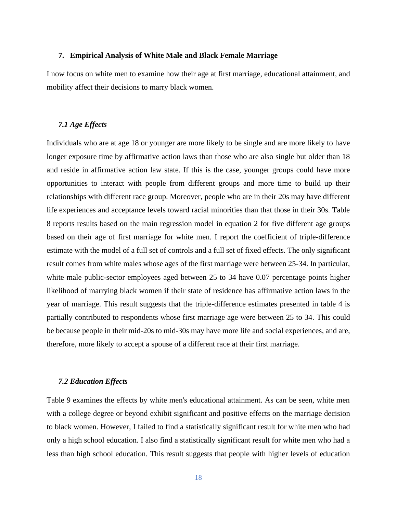#### **7. Empirical Analysis of White Male and Black Female Marriage**

I now focus on white men to examine how their age at first marriage, educational attainment, and mobility affect their decisions to marry black women.

## *7.1 Age Effects*

Individuals who are at age 18 or younger are more likely to be single and are more likely to have longer exposure time by affirmative action laws than those who are also single but older than 18 and reside in affirmative action law state. If this is the case, younger groups could have more opportunities to interact with people from different groups and more time to build up their relationships with different race group. Moreover, people who are in their 20s may have different life experiences and acceptance levels toward racial minorities than that those in their 30s. Table 8 reports results based on the main regression model in equation 2 for five different age groups based on their age of first marriage for white men. I report the coefficient of triple-difference estimate with the model of a full set of controls and a full set of fixed effects. The only significant result comes from white males whose ages of the first marriage were between 25-34. In particular, white male public-sector employees aged between 25 to 34 have 0.07 percentage points higher likelihood of marrying black women if their state of residence has affirmative action laws in the year of marriage. This result suggests that the triple-difference estimates presented in table 4 is partially contributed to respondents whose first marriage age were between 25 to 34. This could be because people in their mid-20s to mid-30s may have more life and social experiences, and are, therefore, more likely to accept a spouse of a different race at their first marriage.

#### *7.2 Education Effects*

Table 9 examines the effects by white men's educational attainment. As can be seen, white men with a college degree or beyond exhibit significant and positive effects on the marriage decision to black women. However, I failed to find a statistically significant result for white men who had only a high school education. I also find a statistically significant result for white men who had a less than high school education. This result suggests that people with higher levels of education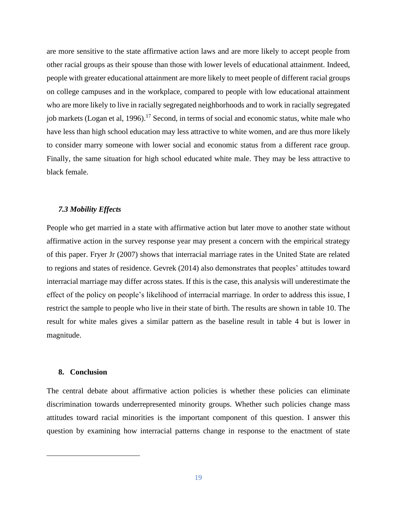are more sensitive to the state affirmative action laws and are more likely to accept people from other racial groups as their spouse than those with lower levels of educational attainment. Indeed, people with greater educational attainment are more likely to meet people of different racial groups on college campuses and in the workplace, compared to people with low educational attainment who are more likely to live in racially segregated neighborhoods and to work in racially segregated job markets (Logan et al, 1996).<sup>17</sup> Second, in terms of social and economic status, white male who have less than high school education may less attractive to white women, and are thus more likely to consider marry someone with lower social and economic status from a different race group. Finally, the same situation for high school educated white male. They may be less attractive to black female.

#### *7.3 Mobility Effects*

People who get married in a state with affirmative action but later move to another state without affirmative action in the survey response year may present a concern with the empirical strategy of this paper. Fryer Jr (2007) shows that interracial marriage rates in the United State are related to regions and states of residence. Gevrek (2014) also demonstrates that peoples' attitudes toward interracial marriage may differ across states. If this is the case, this analysis will underestimate the effect of the policy on people's likelihood of interracial marriage. In order to address this issue, I restrict the sample to people who live in their state of birth. The results are shown in table 10. The result for white males gives a similar pattern as the baseline result in table 4 but is lower in magnitude.

#### **8. Conclusion**

The central debate about affirmative action policies is whether these policies can eliminate discrimination towards underrepresented minority groups. Whether such policies change mass attitudes toward racial minorities is the important component of this question. I answer this question by examining how interracial patterns change in response to the enactment of state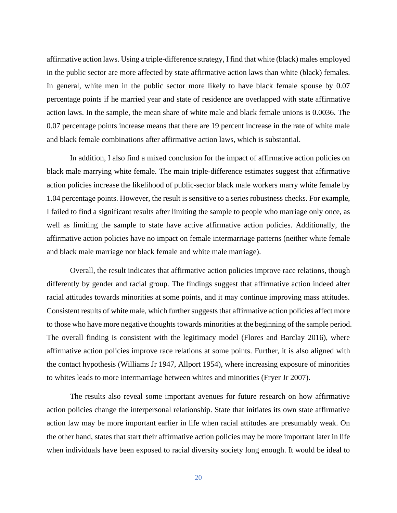affirmative action laws. Using a triple-difference strategy, I find that white (black) males employed in the public sector are more affected by state affirmative action laws than white (black) females. In general, white men in the public sector more likely to have black female spouse by 0.07 percentage points if he married year and state of residence are overlapped with state affirmative action laws. In the sample, the mean share of white male and black female unions is 0.0036. The 0.07 percentage points increase means that there are 19 percent increase in the rate of white male and black female combinations after affirmative action laws, which is substantial.

In addition, I also find a mixed conclusion for the impact of affirmative action policies on black male marrying white female. The main triple-difference estimates suggest that affirmative action policies increase the likelihood of public-sector black male workers marry white female by 1.04 percentage points. However, the result is sensitive to a series robustness checks. For example, I failed to find a significant results after limiting the sample to people who marriage only once, as well as limiting the sample to state have active affirmative action policies. Additionally, the affirmative action policies have no impact on female intermarriage patterns (neither white female and black male marriage nor black female and white male marriage).

Overall, the result indicates that affirmative action policies improve race relations, though differently by gender and racial group. The findings suggest that affirmative action indeed alter racial attitudes towards minorities at some points, and it may continue improving mass attitudes. Consistent results of white male, which further suggests that affirmative action policies affect more to those who have more negative thoughts towards minorities at the beginning of the sample period. The overall finding is consistent with the legitimacy model (Flores and Barclay 2016), where affirmative action policies improve race relations at some points. Further, it is also aligned with the contact hypothesis (Williams Jr 1947, Allport 1954), where increasing exposure of minorities to whites leads to more intermarriage between whites and minorities (Fryer Jr 2007).

The results also reveal some important avenues for future research on how affirmative action policies change the interpersonal relationship. State that initiates its own state affirmative action law may be more important earlier in life when racial attitudes are presumably weak. On the other hand, states that start their affirmative action policies may be more important later in life when individuals have been exposed to racial diversity society long enough. It would be ideal to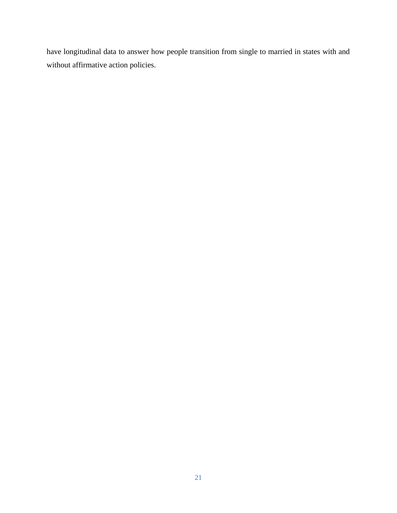have longitudinal data to answer how people transition from single to married in states with and without affirmative action policies.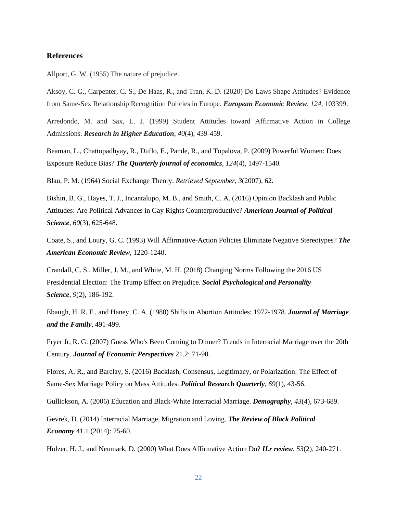#### **References**

Allport, G. W. (1955) The nature of prejudice.

Aksoy, C. G., Carpenter, C. S., De Haas, R., and Tran, K. D. (2020) Do Laws Shape Attitudes? Evidence from Same-Sex Relationship Recognition Policies in Europe. *European Economic Review*, *124*, 103399.

Arredondo, M. and Sax, L. J. (1999) Student Attitudes toward Affirmative Action in College Admissions. *Research in Higher Education*, *40*(4), 439-459.

Beaman, L., Chattopadhyay, R., Duflo, E., Pande, R., and Topalova, P. (2009) Powerful Women: Does Exposure Reduce Bias? *The Quarterly journal of economics*, *124*(4), 1497-1540.

Blau, P. M. (1964) Social Exchange Theory. *Retrieved September*, *3*(2007), 62.

Bishin, B. G., Hayes, T. J., Incantalupo, M. B., and Smith, C. A. (2016) Opinion Backlash and Public Attitudes: Are Political Advances in Gay Rights Counterproductive? *American Journal of Political Science*, *60*(3), 625-648.

Coate, S., and Loury, G. C. (1993) Will Affirmative-Action Policies Eliminate Negative Stereotypes? *The American Economic Review*, 1220-1240.

Crandall, C. S., Miller, J. M., and White, M. H. (2018) Changing Norms Following the 2016 US Presidential Election: The Trump Effect on Prejudice. *Social Psychological and Personality Science*, *9*(2), 186-192.

Ebaugh, H. R. F., and Haney, C. A. (1980) Shifts in Abortion Attitudes: 1972-1978. *Journal of Marriage and the Family*, 491-499.

Fryer Jr, R. G. (2007) Guess Who's Been Coming to Dinner? Trends in Interracial Marriage over the 20th Century. *Journal of Economic Perspectives* 21.2: 71-90.

Flores, A. R., and Barclay, S. (2016) Backlash, Consensus, Legitimacy, or Polarization: The Effect of Same-Sex Marriage Policy on Mass Attitudes. *Political Research Quarterly*, *69*(1), 43-56.

Gullickson, A. (2006) Education and Black-White Interracial Marriage. *Demography*, *43*(4), 673-689.

Gevrek, D. (2014) Interracial Marriage, Migration and Loving. *The Review of Black Political Economy* 41.1 (2014): 25-60.

Holzer, H. J., and Neumark, D. (2000) What Does Affirmative Action Do? *ILr review*, *53*(2), 240-271.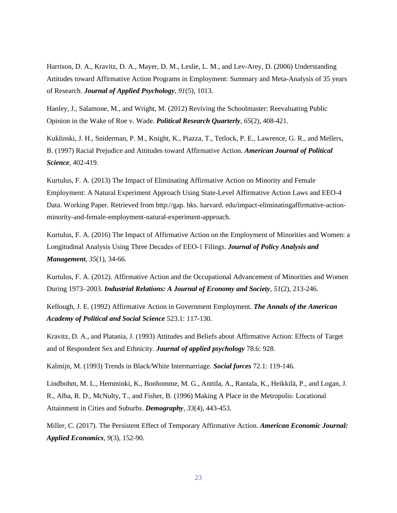Harrison, D. A., Kravitz, D. A., Mayer, D. M., Leslie, L. M., and Lev-Arey, D. (2006) Understanding Attitudes toward Affirmative Action Programs in Employment: Summary and Meta-Analysis of 35 years of Research. *Journal of Applied Psychology*, *91*(5), 1013.

Hanley, J., Salamone, M., and Wright, M. (2012) Reviving the Schoolmaster: Reevaluating Public Opinion in the Wake of Roe v. Wade. *Political Research Quarterly*, *65*(2), 408-421.

Kuklinski, J. H., Sniderman, P. M., Knight, K., Piazza, T., Tetlock, P. E., Lawrence, G. R., and Mellers, B. (1997) Racial Prejudice and Attitudes toward Affirmative Action. *American Journal of Political Science*, 402-419.

Kurtulus, F. A. (2013) The Impact of Eliminating Affirmative Action on Minority and Female Employment: A Natural Experiment Approach Using State-Level Affirmative Action Laws and EEO-4 Data. Working Paper. Retrieved from http://gap. hks. harvard. edu/impact-eliminatingaffirmative-actionminority-and-female-employment-natural-experiment-approach.

Kurtulus, F. A. (2016) The Impact of Affirmative Action on the Employment of Minorities and Women: a Longitudinal Analysis Using Three Decades of EEO‐1 Filings. *Journal of Policy Analysis and Management*, *35*(1), 34-66.

Kurtulus, F. A. (2012). Affirmative Action and the Occupational Advancement of Minorities and Women During 1973–2003. *Industrial Relations: A Journal of Economy and Society*, *51*(2), 213-246.

Kellough, J. E. (1992) Affirmative Action in Government Employment. *The Annals of the American Academy of Political and Social Science* 523.1: 117-130.

Kravitz, D. A., and Platania, J. (1993) Attitudes and Beliefs about Affirmative Action: Effects of Target and of Respondent Sex and Ethnicity. *Journal of applied psychology* 78.6: 928.

Kalmijn, M. (1993) Trends in Black/White Intermarriage. *Social forces* 72.1: 119-146.

Lindbohm, M. L., Hemminki, K., Bonhomme, M. G., Anttila, A., Rantala, K., Heikkilä, P., and Logan, J. R., Alba, R. D., McNulty, T., and Fisher, B. (1996) Making A Place in the Metropolis: Locational Attainment in Cities and Suburbs. *Demography*, *33*(4), 443-453.

Miller, C. (2017). The Persistent Effect of Temporary Affirmative Action. *American Economic Journal: Applied Economics*, *9*(3), 152-90.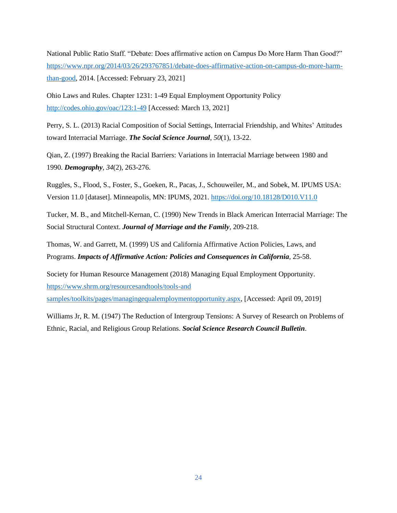National Public Ratio Staff. "Debate: Does affirmative action on Campus Do More Harm Than Good?" [https://www.npr.org/2014/03/26/293767851/debate-does-affirmative-action-on-campus-do-more-harm](https://www.npr.org/2014/03/26/293767851/debate-does-affirmative-action-on-campus-do-more-harm-than-good)[than-good,](https://www.npr.org/2014/03/26/293767851/debate-does-affirmative-action-on-campus-do-more-harm-than-good) 2014. [Accessed: February 23, 2021]

Ohio Laws and Rules. Chapter 1231: 1-49 Equal Employment Opportunity Policy <http://codes.ohio.gov/oac/123:1-49> [Accessed: March 13, 2021]

Perry, S. L. (2013) Racial Composition of Social Settings, Interracial Friendship, and Whites' Attitudes toward Interracial Marriage. *The Social Science Journal*, *50*(1), 13-22.

Qian, Z. (1997) Breaking the Racial Barriers: Variations in Interracial Marriage between 1980 and 1990. *Demography*, *34*(2), 263-276.

Ruggles, S., Flood, S., Foster, S., Goeken, R., Pacas, J., Schouweiler, M., and Sobek, M. IPUMS USA: Version 11.0 [dataset]. Minneapolis, MN: IPUMS, 2021.<https://doi.org/10.18128/D010.V11.0>

Tucker, M. B., and Mitchell-Kernan, C. (1990) New Trends in Black American Interracial Marriage: The Social Structural Context. *Journal of Marriage and the Family*, 209-218.

Thomas, W. and Garrett, M. (1999) US and California Affirmative Action Policies, Laws, and Programs. *Impacts of Affirmative Action: Policies and Consequences in California*, 25-58.

Society for Human Resource Management (2018) Managing Equal Employment Opportunity. [https://www.shrm.org/resourcesandtools/tools-and](https://www.shrm.org/resourcesandtools/tools-and%20samples/toolkits/pages/managingequalemploymentopportunity.aspx) [samples/toolkits/pages/managingequalemploymentopportunity.aspx,](https://www.shrm.org/resourcesandtools/tools-and%20samples/toolkits/pages/managingequalemploymentopportunity.aspx) [Accessed: April 09, 2019]

Williams Jr, R. M. (1947) The Reduction of Intergroup Tensions: A Survey of Research on Problems of Ethnic, Racial, and Religious Group Relations. *Social Science Research Council Bulletin*.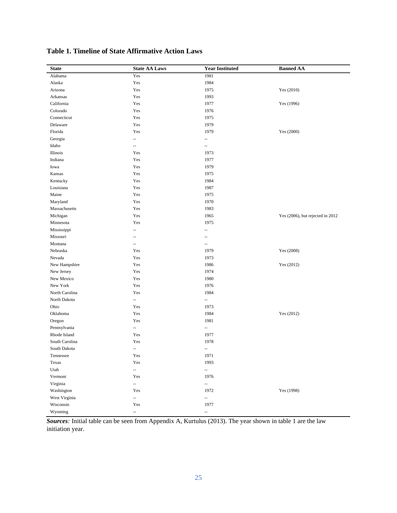| <b>State</b>   | <b>State AA Laws</b>     | <b>Year Instituted</b>   | <b>Banned AA</b>                 |
|----------------|--------------------------|--------------------------|----------------------------------|
| Alabama        | Yes                      | 1981                     |                                  |
| Alaska         | $\operatorname{Yes}$     | 1984                     |                                  |
| Arizona        | Yes                      | 1975                     | Yes (2010)                       |
| Arkansas       | Yes                      | 1993                     |                                  |
| California     | Yes                      | 1977                     | Yes (1996)                       |
| Colorado       | Yes                      | 1976                     |                                  |
| Connecticut    | Yes                      | 1975                     |                                  |
| Delaware       | Yes                      | 1979                     |                                  |
| Florida        | Yes                      | 1979                     | Yes (2000)                       |
| Georgia        | Ξ.                       | --                       |                                  |
| Idaho          | $\overline{\phantom{a}}$ | $\overline{a}$           |                                  |
| Illinois       | Yes                      | 1973                     |                                  |
| Indiana        | Yes                      | 1977                     |                                  |
| Iowa           | Yes                      | 1979                     |                                  |
| Kansas         | Yes                      | 1975                     |                                  |
| Kentucky       | Yes                      | 1984                     |                                  |
| Louisiana      | Yes                      | 1987                     |                                  |
| Maine          | Yes                      | 1975                     |                                  |
| Maryland       | Yes                      | 1970                     |                                  |
| Massachusetts  | Yes                      | 1983                     |                                  |
| Michigan       | Yes                      | 1965                     | Yes (2006), but rejected in 2012 |
| Minnesota      | Yes                      | 1975                     |                                  |
| Mississippi    | $\overline{\phantom{a}}$ | $\overline{\phantom{a}}$ |                                  |
| Missouri       | --                       | --                       |                                  |
| Montana        | $\overline{\phantom{a}}$ | $\overline{\phantom{a}}$ |                                  |
| Nebraska       | Yes                      | 1979                     | Yes (2008)                       |
| Nevada         | Yes                      | 1973                     |                                  |
| New Hampshire  | Yes                      | 1986                     | Yes (2012)                       |
| New Jersey     | Yes                      | 1974                     |                                  |
| New Mexico     | Yes                      | 1980                     |                                  |
| New York       | Yes                      | 1976                     |                                  |
| North Carolina | Yes                      | 1984                     |                                  |
| North Dakota   | $\overline{\phantom{a}}$ | --                       |                                  |
| Ohio           | Yes                      | 1973                     |                                  |
| Oklahoma       | Yes                      | 1984                     | Yes (2012)                       |
| Oregon         | Yes                      | 1981                     |                                  |
| Pennsylvania   | $\overline{\phantom{a}}$ | --                       |                                  |
| Rhode Island   | Yes                      | 1977                     |                                  |
| South Carolina | Yes                      | 1978                     |                                  |
| South Dakota   | $\overline{\phantom{a}}$ | --                       |                                  |
| Tennessee      | Yes                      | 1971                     |                                  |
| Texas          | Yes                      | 1993                     |                                  |
| Utah           | $\overline{\phantom{a}}$ | Ξ.                       |                                  |
| Vermont        | Yes                      | 1976                     |                                  |
| Virginia       | ω.                       | $\overline{\phantom{a}}$ |                                  |
| Washington     | Yes                      | 1972                     | Yes (1998)                       |
| West Virginia  | ω.                       | Ξ.                       |                                  |
| Wisconsin      | Yes                      | 1977                     |                                  |
| Wyoming        | $\overline{\phantom{a}}$ | $\overline{\phantom{a}}$ |                                  |

**Table 1. Timeline of State Affirmative Action Laws**

*Sources:* Initial table can be seen from Appendix A, Kurtulus (2013). The year shown in table 1 are the law initiation year.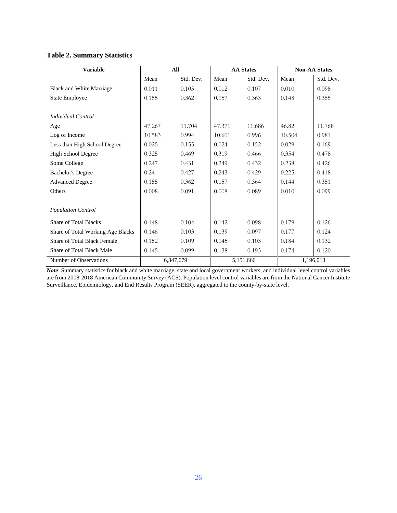## **Table 2. Summary Statistics**

| <b>Variable</b>                    | All       |           | <b>AA States</b> |           | <b>Non-AA States</b> |           |
|------------------------------------|-----------|-----------|------------------|-----------|----------------------|-----------|
|                                    | Mean      | Std. Dev. | Mean             | Std. Dev. | Mean                 | Std. Dev. |
| Black and White Marriage           | 0.011     | 0.105     | 0.012            | 0.107     | 0.010                | 0.098     |
| <b>State Employee</b>              | 0.155     | 0.362     | 0.157            | 0.363     | 0.148                | 0.355     |
|                                    |           |           |                  |           |                      |           |
| Individual Control                 |           |           |                  |           |                      |           |
| Age                                | 47.267    | 11.704    | 47.371           | 11.686    | 46.82                | 11.768    |
| Log of Income                      | 10.583    | 0.994     | 10.601           | 0.996     | 10.504               | 0.981     |
| Less than High School Degree       | 0.025     | 0.155     | 0.024            | 0.152     | 0.029                | 0.169     |
| High School Degree                 | 0.325     | 0.469     | 0.319            | 0.466     | 0.354                | 0.478     |
| Some College                       | 0.247     | 0.431     | 0.249            | 0.432     | 0.238                | 0.426     |
| <b>Bachelor's Degree</b>           | 0.24      | 0.427     | 0.243            | 0.429     | 0.225                | 0.418     |
| <b>Advanced Degree</b>             | 0.155     | 0.362     | 0.157            | 0.364     | 0.144                | 0.351     |
| Others                             | 0.008     | 0.091     | 0.008            | 0.089     | 0.010                | 0.099     |
|                                    |           |           |                  |           |                      |           |
| <b>Population Control</b>          |           |           |                  |           |                      |           |
| <b>Share of Total Blacks</b>       | 0.148     | 0.104     | 0.142            | 0.098     | 0.179                | 0.126     |
| Share of Total Working Age Blacks  | 0.146     | 0.103     | 0.139            | 0.097     | 0.177                | 0.124     |
| <b>Share of Total Black Female</b> | 0.152     | 0.109     | 0.145            | 0.103     | 0.184                | 0.132     |
| <b>Share of Total Black Male</b>   | 0.145     | 0.099     | 0.138            | 0.193     | 0.174                | 0.120     |
| Number of Observations             | 6,347,679 |           |                  | 5,151,666 |                      | 1,196,013 |

*Note*: Summary statistics for black and white marriage, state and local government workers, and individual level control variables are from 2008-2018 American Community Survey (ACS). Population level control variables are from the National Cancer Institute Surveillance, Epidemiology, and End Results Program (SEER), aggregated to the county-by-state level.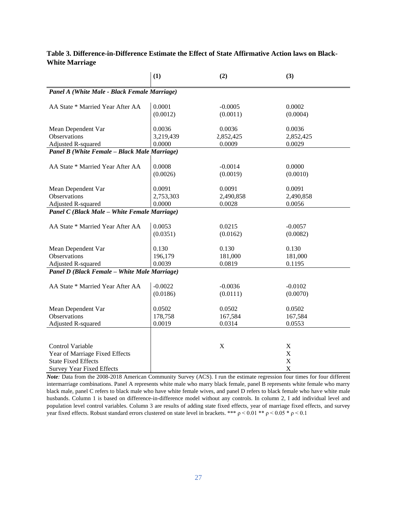## **Table 3. Difference-in-Difference Estimate the Effect of State Affirmative Action laws on Black-White Marriage**

|                                                                                                                             | (1)                           | (2)                           | (3)                                            |  |
|-----------------------------------------------------------------------------------------------------------------------------|-------------------------------|-------------------------------|------------------------------------------------|--|
| Panel A (White Male - Black Female Marriage)                                                                                |                               |                               |                                                |  |
| AA State * Married Year After AA                                                                                            | 0.0001<br>(0.0012)            | $-0.0005$<br>(0.0011)         | 0.0002<br>(0.0004)                             |  |
| Mean Dependent Var<br><b>Observations</b><br>Adjusted R-squared                                                             | 0.0036<br>3,219,439<br>0.0000 | 0.0036<br>2,852,425<br>0.0009 | 0.0036<br>2,852,425<br>0.0029                  |  |
| Panel B (White Female - Black Male Marriage)                                                                                |                               |                               |                                                |  |
| AA State * Married Year After AA                                                                                            | 0.0008<br>(0.0026)            | $-0.0014$<br>(0.0019)         | 0.0000<br>(0.0010)                             |  |
| Mean Dependent Var<br>Observations<br><b>Adjusted R-squared</b>                                                             | 0.0091<br>2,753,303<br>0.0000 | 0.0091<br>2,490,858<br>0.0028 | 0.0091<br>2,490,858<br>0.0056                  |  |
| Panel C (Black Male - White Female Marriage)                                                                                |                               |                               |                                                |  |
| AA State * Married Year After AA                                                                                            | 0.0053<br>(0.0351)            | 0.0215<br>(0.0162)            | $-0.0057$<br>(0.0082)                          |  |
| Mean Dependent Var<br>Observations<br>Adjusted R-squared                                                                    | 0.130<br>196,179<br>0.0039    | 0.130<br>181,000<br>0.0819    | 0.130<br>181,000<br>0.1195                     |  |
| Panel D (Black Female - White Male Marriage)                                                                                |                               |                               |                                                |  |
| AA State * Married Year After AA                                                                                            | $-0.0022$<br>(0.0186)         | $-0.0036$<br>(0.0111)         | $-0.0102$<br>(0.0070)                          |  |
| Mean Dependent Var<br>Observations<br>Adjusted R-squared                                                                    | 0.0502<br>178,758<br>0.0019   | 0.0502<br>167,584<br>0.0314   | 0.0502<br>167,584<br>0.0553                    |  |
| <b>Control Variable</b><br>Year of Marriage Fixed Effects<br><b>State Fixed Effects</b><br><b>Survey Year Fixed Effects</b> |                               | $\mathbf X$                   | X<br>$\mathbf X$<br>$\mathbf X$<br>$\mathbf X$ |  |

*Note:* Data from the 2008-2018 American Community Survey (ACS). I run the estimate regression four times for four different intermarriage combinations. Panel A represents white male who marry black female, panel B represents white female who marry black male, panel C refers to black male who have white female wives, and panel D refers to black female who have white male husbands. Column 1 is based on difference-in-difference model without any controls. In column 2, I add individual level and population level control variables. Column 3 are results of adding state fixed effects, year of marriage fixed effects, and survey year fixed effects. Robust standard errors clustered on state level in brackets. \*\*\*  $p < 0.01$  \*\*  $p < 0.05$  \*  $p < 0.1$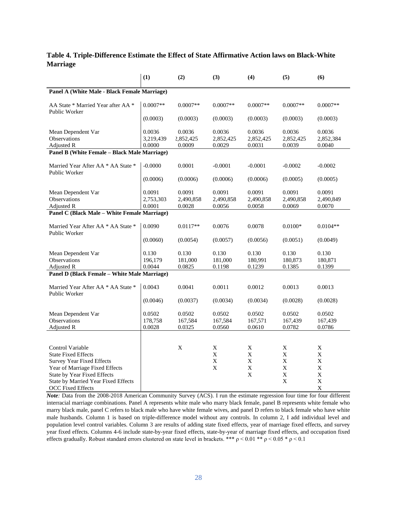## **Table 4. Triple-Difference Estimate the Effect of State Affirmative Action laws on Black-White Marriage**

|                                                                                                                                                                                                                        | (1)                           | (2)                           | (3)                                  | (4)                                       | (5)                                                      | (6)                                                           |
|------------------------------------------------------------------------------------------------------------------------------------------------------------------------------------------------------------------------|-------------------------------|-------------------------------|--------------------------------------|-------------------------------------------|----------------------------------------------------------|---------------------------------------------------------------|
| Panel A (White Male - Black Female Marriage)                                                                                                                                                                           |                               |                               |                                      |                                           |                                                          |                                                               |
| AA State * Married Year after AA *<br>Public Worker                                                                                                                                                                    | $0.0007**$                    | $0.0007**$                    | $0.0007**$                           | $0.0007**$                                | $0.0007**$                                               | $0.0007**$                                                    |
|                                                                                                                                                                                                                        | (0.0003)                      | (0.0003)                      | (0.0003)                             | (0.0003)                                  | (0.0003)                                                 | (0.0003)                                                      |
| Mean Dependent Var<br>Observations<br>Adjusted R                                                                                                                                                                       | 0.0036<br>3,219,439<br>0.0000 | 0.0036<br>2,852,425<br>0.0009 | 0.0036<br>2,852,425<br>0.0029        | 0.0036<br>2,852,425<br>0.0031             | 0.0036<br>2,852,425<br>0.0039                            | 0.0036<br>2,852,384<br>0.0040                                 |
| Panel B (White Female - Black Male Marriage)                                                                                                                                                                           |                               |                               |                                      |                                           |                                                          |                                                               |
| Married Year After AA * AA State *<br>Public Worker                                                                                                                                                                    | $-0.0000$                     | 0.0001                        | $-0.0001$                            | $-0.0001$                                 | $-0.0002$                                                | $-0.0002$                                                     |
|                                                                                                                                                                                                                        | (0.0006)                      | (0.0006)                      | (0.0006)                             | (0.0006)                                  | (0.0005)                                                 | (0.0005)                                                      |
| Mean Dependent Var<br>Observations<br>Adjusted R                                                                                                                                                                       | 0.0091<br>2,753,303<br>0.0001 | 0.0091<br>2,490,858<br>0.0028 | 0.0091<br>2,490,858<br>0.0056        | 0.0091<br>2,490,858<br>0.0058             | 0.0091<br>2,490,858<br>0.0069                            | 0.0091<br>2,490,849<br>0.0070                                 |
| Panel C (Black Male - White Female Marriage)                                                                                                                                                                           |                               |                               |                                      |                                           |                                                          |                                                               |
| Married Year After AA * AA State *<br>Public Worker                                                                                                                                                                    | 0.0090                        | $0.0117**$                    | 0.0076                               | 0.0078                                    | $0.0100*$                                                | $0.0104**$                                                    |
|                                                                                                                                                                                                                        | (0.0060)                      | (0.0054)                      | (0.0057)                             | (0.0056)                                  | (0.0051)                                                 | (0.0049)                                                      |
| Mean Dependent Var<br>Observations<br>Adjusted R                                                                                                                                                                       | 0.130<br>196,179<br>0.0044    | 0.130<br>181,000<br>0.0825    | 0.130<br>181,000<br>0.1198           | 0.130<br>180,991<br>0.1239                | 0.130<br>180,873<br>0.1385                               | 0.130<br>180,871<br>0.1399                                    |
| Panel D (Black Female - White Male Marriage)                                                                                                                                                                           |                               |                               |                                      |                                           |                                                          |                                                               |
| Married Year After AA * AA State *<br>Public Worker                                                                                                                                                                    | 0.0043                        | 0.0041                        | 0.0011                               | 0.0012                                    | 0.0013                                                   | 0.0013                                                        |
|                                                                                                                                                                                                                        | (0.0046)                      | (0.0037)                      | (0.0034)                             | (0.0034)                                  | (0.0028)                                                 | (0.0028)                                                      |
| Mean Dependent Var<br><b>Observations</b><br><b>Adjusted R</b>                                                                                                                                                         | 0.0502<br>178,758<br>0.0028   | 0.0502<br>167,584<br>0.0325   | 0.0502<br>167,584<br>0.0560          | 0.0502<br>167,571<br>0.0610               | 0.0502<br>167,439<br>0.0782                              | 0.0502<br>167,439<br>0.0786                                   |
|                                                                                                                                                                                                                        |                               |                               |                                      |                                           |                                                          |                                                               |
| Control Variable<br><b>State Fixed Effects</b><br><b>Survey Year Fixed Effects</b><br>Year of Marriage Fixed Effects<br>State by Year Fixed Effects<br>State by Married Year Fixed Effects<br><b>OCC Fixed Effects</b> |                               | X                             | X<br>X<br>$\mathbf X$<br>$\mathbf X$ | Χ<br>X<br>$\mathbf X$<br>$\mathbf X$<br>X | X<br>X<br>$\mathbf X$<br>$\mathbf X$<br>$\mathbf X$<br>X | X<br>X<br>$\mathbf X$<br>X<br>$\mathbf X$<br>$\mathbf X$<br>X |

*Note:* Data from the 2008-2018 American Community Survey (ACS). I run the estimate regression four time for four different interracial marriage combinations. Panel A represents white male who marry black female, panel B represents white female who marry black male, panel C refers to black male who have white female wives, and panel D refers to black female who have white male husbands. Column 1 is based on triple-difference model without any controls. In column 2, I add individual level and population level control variables. Column 3 are results of adding state fixed effects, year of marriage fixed effects, and survey year fixed effects. Columns 4-6 include state-by-year fixed effects, state-by-year of marriage fixed effects, and occupation fixed effects gradually. Robust standard errors clustered on state level in brackets. \*\*\*  $p < 0.01$ \*\*  $p < 0.05$ \*  $p < 0.1$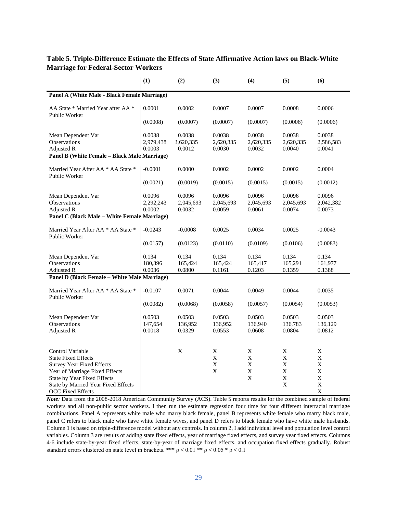## **Table 5. Triple-Difference Estimate the Effects of State Affirmative Action laws on Black-White Marriage for Federal-Sector Workers**

|                                                            | (1)       | (2)         | (3)         | (4)         | (5)         | (6)         |
|------------------------------------------------------------|-----------|-------------|-------------|-------------|-------------|-------------|
| Panel A (White Male - Black Female Marriage)               |           |             |             |             |             |             |
| AA State * Married Year after AA *<br>Public Worker        | 0.0001    | 0.0002      | 0.0007      | 0.0007      | 0.0008      | 0.0006      |
|                                                            | (0.0008)  | (0.0007)    | (0.0007)    | (0.0007)    | (0.0006)    | (0.0006)    |
| Mean Dependent Var                                         | 0.0038    | 0.0038      | 0.0038      | 0.0038      | 0.0038      | 0.0038      |
| Observations                                               | 2,979,438 | 2,620,335   | 2,620,335   | 2,620,335   | 2,620,335   | 2,586,583   |
| Adjusted R<br>Panel B (White Female - Black Male Marriage) | 0.0003    | 0.0012      | 0.0030      | 0.0032      | 0.0040      | 0.0041      |
|                                                            |           |             |             |             |             |             |
| Married Year After AA * AA State *<br>Public Worker        | $-0.0001$ | 0.0000      | 0.0002      | 0.0002      | 0.0002      | 0.0004      |
|                                                            | (0.0021)  | (0.0019)    | (0.0015)    | (0.0015)    | (0.0015)    | (0.0012)    |
| Mean Dependent Var                                         | 0.0096    | 0.0096      | 0.0096      | 0.0096      | 0.0096      | 0.0096      |
| <b>Observations</b>                                        | 2,292,243 | 2,045,693   | 2,045,693   | 2,045,693   | 2,045,693   | 2,042,382   |
| Adjusted R                                                 | 0.0002    | 0.0032      | 0.0059      | 0.0061      | 0.0074      | 0.0073      |
| <b>Panel C (Black Male - White Female Marriage)</b>        |           |             |             |             |             |             |
| Married Year After AA * AA State *<br>Public Worker        | $-0.0243$ | $-0.0008$   | 0.0025      | 0.0034      | 0.0025      | $-0.0043$   |
|                                                            | (0.0157)  | (0.0123)    | (0.0110)    | (0.0109)    | (0.0106)    | (0.0083)    |
| Mean Dependent Var                                         | 0.134     | 0.134       | 0.134       | 0.134       | 0.134       | 0.134       |
| <b>Observations</b>                                        | 180,396   | 165,424     | 165,424     | 165,417     | 165,291     | 161,977     |
| Adjusted R                                                 | 0.0036    | 0.0800      | 0.1161      | 0.1203      | 0.1359      | 0.1388      |
| <b>Panel D (Black Female - White Male Marriage)</b>        |           |             |             |             |             |             |
| Married Year After AA * AA State *<br>Public Worker        | $-0.0107$ | 0.0071      | 0.0044      | 0.0049      | 0.0044      | 0.0035      |
|                                                            | (0.0082)  | (0.0068)    | (0.0058)    | (0.0057)    | (0.0054)    | (0.0053)    |
| Mean Dependent Var                                         | 0.0503    | 0.0503      | 0.0503      | 0.0503      | 0.0503      | 0.0503      |
| Observations                                               | 147,654   | 136,952     | 136,952     | 136,940     | 136,783     | 136,129     |
| Adjusted R                                                 | 0.0018    | 0.0329      | 0.0553      | 0.0608      | 0.0804      | 0.0812      |
|                                                            |           |             |             |             |             |             |
| Control Variable                                           |           | $\mathbf X$ | X           | X           | X           | X           |
| <b>State Fixed Effects</b>                                 |           |             | $\mathbf X$ | X           | X           | X           |
| <b>Survey Year Fixed Effects</b>                           |           |             | X           | X           | X           | X           |
| Year of Marriage Fixed Effects                             |           |             | $\mathbf X$ | $\mathbf X$ | $\mathbf X$ | $\mathbf X$ |
| <b>State by Year Fixed Effects</b>                         |           |             |             | X           | $\mathbf X$ | $\mathbf X$ |
| State by Married Year Fixed Effects                        |           |             |             |             | X           | $\mathbf X$ |
| <b>OCC Fixed Effects</b>                                   |           |             |             |             |             | X           |

*Note:* Data from the 2008-2018 American Community Survey (ACS). Table 5 reports results for the combined sample of federal workers and all non-public sector workers. I then run the estimate regression four time for four different interracial marriage combinations. Panel A represents white male who marry black female, panel B represents white female who marry black male, panel C refers to black male who have white female wives, and panel D refers to black female who have white male husbands. Column 1 is based on triple-difference model without any controls. In column 2, I add individual level and population level control variables. Column 3 are results of adding state fixed effects, year of marriage fixed effects, and survey year fixed effects. Columns 4-6 include state-by-year fixed effects, state-by-year of marriage fixed effects, and occupation fixed effects gradually. Robust standard errors clustered on state level in brackets. \*\*\*  $\rho$  < 0.01 \*\*  $\rho$  < 0.05 \*  $\rho$  < 0.1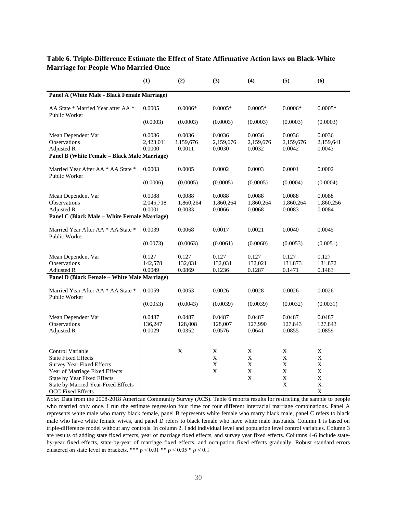## **Table 6. Triple-Difference Estimate the Effect of State Affirmative Action laws on Black-White Marriage for People Who Married Once**

|                                                                                                                                                                                                                               | (1)                           | (2)                           | (3)                                  | (4)                                       | (5)                                                      | (6)                                                           |
|-------------------------------------------------------------------------------------------------------------------------------------------------------------------------------------------------------------------------------|-------------------------------|-------------------------------|--------------------------------------|-------------------------------------------|----------------------------------------------------------|---------------------------------------------------------------|
| Panel A (White Male - Black Female Marriage)                                                                                                                                                                                  |                               |                               |                                      |                                           |                                                          |                                                               |
| AA State * Married Year after AA *<br>Public Worker                                                                                                                                                                           | 0.0005                        | $0.0006*$                     | $0.0005*$                            | $0.0005*$                                 | $0.0006*$                                                | $0.0005*$                                                     |
|                                                                                                                                                                                                                               | (0.0003)                      | (0.0003)                      | (0.0003)                             | (0.0003)                                  | (0.0003)                                                 | (0.0003)                                                      |
| Mean Dependent Var<br>Observations                                                                                                                                                                                            | 0.0036<br>2,423,011           | 0.0036<br>2,159,676           | 0.0036<br>2,159,676                  | 0.0036<br>2,159,676                       | 0.0036<br>2,159,676                                      | 0.0036<br>2,159,641                                           |
| Adjusted R<br>Panel B (White Female - Black Male Marriage)                                                                                                                                                                    | 0.0000                        | 0.0011                        | 0.0030                               | 0.0032                                    | 0.0042                                                   | 0.0043                                                        |
|                                                                                                                                                                                                                               |                               |                               |                                      |                                           |                                                          |                                                               |
| Married Year After AA * AA State *<br>Public Worker                                                                                                                                                                           | 0.0003                        | 0.0005                        | 0.0002                               | 0.0003                                    | 0.0001                                                   | 0.0002                                                        |
|                                                                                                                                                                                                                               | (0.0006)                      | (0.0005)                      | (0.0005)                             | (0.0005)                                  | (0.0004)                                                 | (0.0004)                                                      |
| Mean Dependent Var<br><b>Observations</b><br>Adjusted R                                                                                                                                                                       | 0.0088<br>2,045,718<br>0.0001 | 0.0088<br>1,860,264<br>0.0033 | 0.0088<br>1,860,264<br>0.0066        | 0.0088<br>1,860,264<br>0.0068             | 0.0088<br>1,860,264<br>0.0083                            | 0.0088<br>1,860,256<br>0.0084                                 |
| Panel C (Black Male - White Female Marriage)                                                                                                                                                                                  |                               |                               |                                      |                                           |                                                          |                                                               |
| Married Year After AA * AA State *<br>Public Worker                                                                                                                                                                           | 0.0039                        | 0.0068                        | 0.0017                               | 0.0021                                    | 0.0040                                                   | 0.0045                                                        |
|                                                                                                                                                                                                                               | (0.0073)                      | (0.0063)                      | (0.0061)                             | (0.0060)                                  | (0.0053)                                                 | (0.0051)                                                      |
| Mean Dependent Var<br>Observations<br>Adjusted R                                                                                                                                                                              | 0.127<br>142,578<br>0.0049    | 0.127<br>132,031<br>0.0869    | 0.127<br>132,031<br>0.1236           | 0.127<br>132,021<br>0.1287                | 0.127<br>131,873<br>0.1471                               | 0.127<br>131,872<br>0.1483                                    |
| Panel D (Black Female - White Male Marriage)                                                                                                                                                                                  |                               |                               |                                      |                                           |                                                          |                                                               |
| Married Year After AA * AA State *<br>Public Worker                                                                                                                                                                           | 0.0059                        | 0.0053                        | 0.0026                               | 0.0028                                    | 0.0026                                                   | 0.0026                                                        |
|                                                                                                                                                                                                                               | (0.0053)                      | (0.0043)                      | (0.0039)                             | (0.0039)                                  | (0.0032)                                                 | (0.0031)                                                      |
| Mean Dependent Var<br><b>Observations</b><br>Adjusted R                                                                                                                                                                       | 0.0487<br>136,247<br>0.0029   | 0.0487<br>128,008<br>0.0352   | 0.0487<br>128,007<br>0.0576          | 0.0487<br>127,990<br>0.0641               | 0.0487<br>127,843<br>0.0855                              | 0.0487<br>127,843<br>0.0859                                   |
| Control Variable<br><b>State Fixed Effects</b><br><b>Survey Year Fixed Effects</b><br>Year of Marriage Fixed Effects<br><b>State by Year Fixed Effects</b><br>State by Married Year Fixed Effects<br><b>OCC Fixed Effects</b> |                               | X                             | X<br>X<br>$\mathbf X$<br>$\mathbf X$ | X<br>X<br>$\mathbf X$<br>$\mathbf X$<br>X | Χ<br>X<br>$\mathbf X$<br>$\mathbf X$<br>$\mathbf X$<br>X | X<br>X<br>$\mathbf X$<br>X<br>$\mathbf X$<br>$\mathbf X$<br>X |

*Note:* Data from the 2008-2018 American Community Survey (ACS). Table 6 reports results for restricting the sample to people who married only once. I run the estimate regression four time for four different interracial marriage combinations. Panel A represents white male who marry black female, panel B represents white female who marry black male, panel C refers to black male who have white female wives, and panel D refers to black female who have white male husbands. Column 1 is based on triple-difference model without any controls. In column 2, I add individual level and population level control variables. Column 3 are results of adding state fixed effects, year of marriage fixed effects, and survey year fixed effects. Columns 4-6 include stateby-year fixed effects, state-by-year of marriage fixed effects, and occupation fixed effects gradually. Robust standard errors clustered on state level in brackets. \*\*\*  $\rho$  < 0.01 \*\*  $\rho$  < 0.05 \*  $\rho$  < 0.1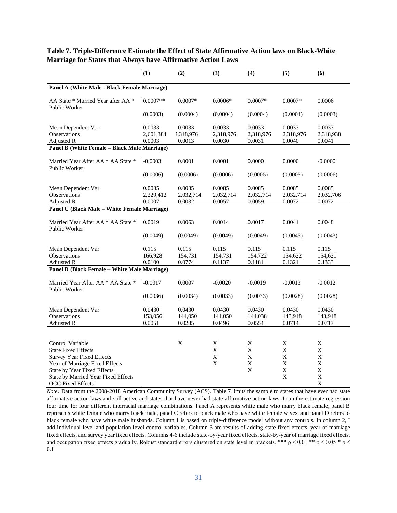|                                                     | (1)                           | (2)                           | (3)                           | (4)                           | (5)                           | (6)                           |
|-----------------------------------------------------|-------------------------------|-------------------------------|-------------------------------|-------------------------------|-------------------------------|-------------------------------|
| Panel A (White Male - Black Female Marriage)        |                               |                               |                               |                               |                               |                               |
| AA State * Married Year after AA *<br>Public Worker | $0.0007**$                    | $0.0007*$                     | $0.0006*$                     | $0.0007*$                     | $0.0007*$                     | 0.0006                        |
|                                                     | (0.0003)                      | (0.0004)                      | (0.0004)                      | (0.0004)                      | (0.0004)                      | (0.0003)                      |
| Mean Dependent Var<br>Observations                  | 0.0033<br>2,601,384           | 0.0033<br>2,318,976           | 0.0033<br>2,318,976           | 0.0033<br>2,318,976           | 0.0033<br>2,318,976           | 0.0033<br>2,318,938           |
| Adjusted R                                          | 0.0003                        | 0.0013                        | 0.0030                        | 0.0031                        | 0.0040                        | 0.0041                        |
| Panel B (White Female - Black Male Marriage)        |                               |                               |                               |                               |                               |                               |
| Married Year After AA * AA State *<br>Public Worker | $-0.0003$                     | 0.0001                        | 0.0001                        | 0.0000                        | 0.0000                        | $-0.0000$                     |
|                                                     | (0.0006)                      | (0.0006)                      | (0.0006)                      | (0.0005)                      | (0.0005)                      | (0.0006)                      |
| Mean Dependent Var<br>Observations<br>Adjusted R    | 0.0085<br>2,229,412<br>0.0007 | 0.0085<br>2,032,714<br>0.0032 | 0.0085<br>2,032,714<br>0.0057 | 0.0085<br>2,032,714<br>0.0059 | 0.0085<br>2,032,714<br>0.0072 | 0.0085<br>2,032,706<br>0.0072 |
| Panel C (Black Male - White Female Marriage)        |                               |                               |                               |                               |                               |                               |
| Married Year After AA * AA State *<br>Public Worker | 0.0019                        | 0.0063                        | 0.0014                        | 0.0017                        | 0.0041                        | 0.0048                        |
|                                                     | (0.0049)                      | (0.0049)                      | (0.0049)                      | (0.0049)                      | (0.0045)                      | (0.0043)                      |
| Mean Dependent Var                                  | 0.115                         | 0.115                         | 0.115                         | 0.115                         | 0.115                         | 0.115                         |
| Observations                                        | 166,928                       | 154,731                       | 154,731                       | 154,722                       | 154,622                       | 154,621                       |
| Adjusted R                                          | 0.0100                        | 0.0774                        | 0.1137                        | 0.1181                        | 0.1321                        | 0.1333                        |
| Panel D (Black Female - White Male Marriage)        |                               |                               |                               |                               |                               |                               |
| Married Year After AA * AA State *<br>Public Worker | $-0.0017$                     | 0.0007                        | $-0.0020$                     | $-0.0019$                     | $-0.0013$                     | $-0.0012$                     |
|                                                     | (0.0036)                      | (0.0034)                      | (0.0033)                      | (0.0033)                      | (0.0028)                      | (0.0028)                      |
| Mean Dependent Var<br>Observations<br>Adjusted R    | 0.0430<br>153,056<br>0.0051   | 0.0430<br>144,050<br>0.0285   | 0.0430<br>144,050<br>0.0496   | 0.0430<br>144,038<br>0.0554   | 0.0430<br>143,918<br>0.0714   | 0.0430<br>143,918<br>0.0717   |
|                                                     |                               |                               |                               |                               |                               |                               |
|                                                     |                               |                               |                               |                               |                               |                               |
| Control Variable                                    |                               | X                             | X                             | X                             | X                             | X                             |
| <b>State Fixed Effects</b>                          |                               |                               | X                             | X                             | X                             | X                             |
| <b>Survey Year Fixed Effects</b>                    |                               |                               | $\mathbf X$                   | $\mathbf X$                   | $\mathbf X$                   | $\mathbf X$                   |
| Year of Marriage Fixed Effects                      |                               |                               | $\mathbf X$                   | $\mathbf X$                   | $\mathbf X$                   | $\mathbf X$                   |
| State by Year Fixed Effects                         |                               |                               |                               | $\mathbf X$                   | $\mathbf X$                   | X                             |
| State by Married Year Fixed Effects                 |                               |                               |                               |                               | X                             | $\mathbf X$                   |
| <b>OCC Fixed Effects</b>                            |                               |                               |                               |                               |                               | X                             |

## **Table 7. Triple-Difference Estimate the Effect of State Affirmative Action laws on Black-White Marriage for States that Always have Affirmative Action Laws**

*Note:* Data from the 2008-2018 American Community Survey (ACS). Table 7 limits the sample to states that have ever had state affirmative action laws and still active and states that have never had state affirmative action laws. I run the estimate regression four time for four different interracial marriage combinations. Panel A represents white male who marry black female, panel B represents white female who marry black male, panel C refers to black male who have white female wives, and panel D refers to black female who have white male husbands. Column 1 is based on triple-difference model without any controls. In column 2, I add individual level and population level control variables. Column 3 are results of adding state fixed effects, year of marriage fixed effects, and survey year fixed effects. Columns 4-6 include state-by-year fixed effects, state-by-year of marriage fixed effects, and occupation fixed effects gradually. Robust standard errors clustered on state level in brackets. \*\*\*  $p < 0.01$  \*\*  $p < 0.05$  \*  $p <$ 0.1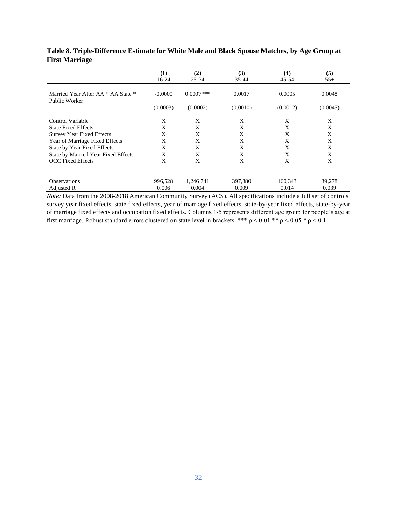|                                                     | (1)<br>16-24 | (2)<br>$25 - 34$ | (3)<br>35-44 | (4)<br>45-54 | (5)<br>$55+$ |
|-----------------------------------------------------|--------------|------------------|--------------|--------------|--------------|
| Married Year After AA * AA State *<br>Public Worker | $-0.0000$    | $0.0007$ ***     | 0.0017       | 0.0005       | 0.0048       |
|                                                     | (0.0003)     | (0.0002)         | (0.0010)     | (0.0012)     | (0.0045)     |
| Control Variable                                    | X            | X                | X            | X            | X            |
| <b>State Fixed Effects</b>                          | X            | X                | X            | X            | X            |
| <b>Survey Year Fixed Effects</b>                    | X            | X                | X            | X            | X            |
| Year of Marriage Fixed Effects                      | X            | X                | X            | X            | X            |
| State by Year Fixed Effects                         | X            | X                | X            | X            | X            |
| State by Married Year Fixed Effects                 | X            | X                | X            | X            | X            |
| <b>OCC</b> Fixed Effects                            | X            | X                | X            | X            | X            |
|                                                     |              |                  |              |              |              |
| <b>Observations</b>                                 | 996,528      | 1,246,741        | 397,880      | 160,343      | 39,278       |
| Adjusted R                                          | 0.006        | 0.004            | 0.009        | 0.014        | 0.039        |

## **Table 8. Triple-Difference Estimate for White Male and Black Spouse Matches, by Age Group at First Marriage**

*Note:* Data from the 2008-2018 American Community Survey (ACS). All specifications include a full set of controls, survey year fixed effects, state fixed effects, year of marriage fixed effects, state-by-year fixed effects, state-by-year of marriage fixed effects and occupation fixed effects. Columns 1-5 represents different age group for people's age at first marriage. Robust standard errors clustered on state level in brackets. \*\*\*  $\rho$  < 0.01 \*\*  $\rho$  < 0.05 \*  $\rho$  < 0.1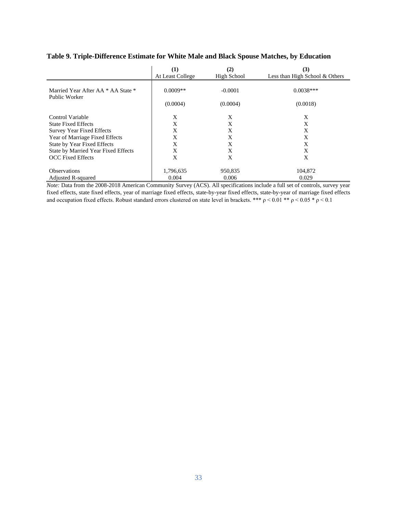|                                                     | $\bf(1)$<br>At Least College | (2)<br>High School | (3)<br>Less than High School & Others |
|-----------------------------------------------------|------------------------------|--------------------|---------------------------------------|
|                                                     |                              |                    |                                       |
| Married Year After AA * AA State *<br>Public Worker | $0.0009**$                   | $-0.0001$          | $0.0038***$                           |
|                                                     | (0.0004)                     | (0.0004)           | (0.0018)                              |
| Control Variable                                    | X                            | X                  | X                                     |
| <b>State Fixed Effects</b>                          | X                            | X                  | X                                     |
| <b>Survey Year Fixed Effects</b>                    | X                            | X                  | X                                     |
| Year of Marriage Fixed Effects                      | X                            | X                  | X                                     |
| State by Year Fixed Effects                         | X                            | X                  | X                                     |
| State by Married Year Fixed Effects                 | X                            | X                  | X                                     |
| <b>OCC</b> Fixed Effects                            | X                            | X                  | X                                     |
| <b>Observations</b>                                 | 1,796,635                    | 950,835            | 104,872                               |
| Adjusted R-squared                                  | 0.004                        | 0.006              | 0.029                                 |

## **Table 9. Triple-Difference Estimate for White Male and Black Spouse Matches, by Education**

*Note:* Data from the 2008-2018 American Community Survey (ACS). All specifications include a full set of controls, survey year fixed effects, state fixed effects, year of marriage fixed effects, state-by-year fixed effects, state-by-year of marriage fixed effects and occupation fixed effects. Robust standard errors clustered on state level in brackets. \*\*\*  $\rho$  < 0.01 \*\*  $\rho$  < 0.05 \*  $\rho$  < 0.1